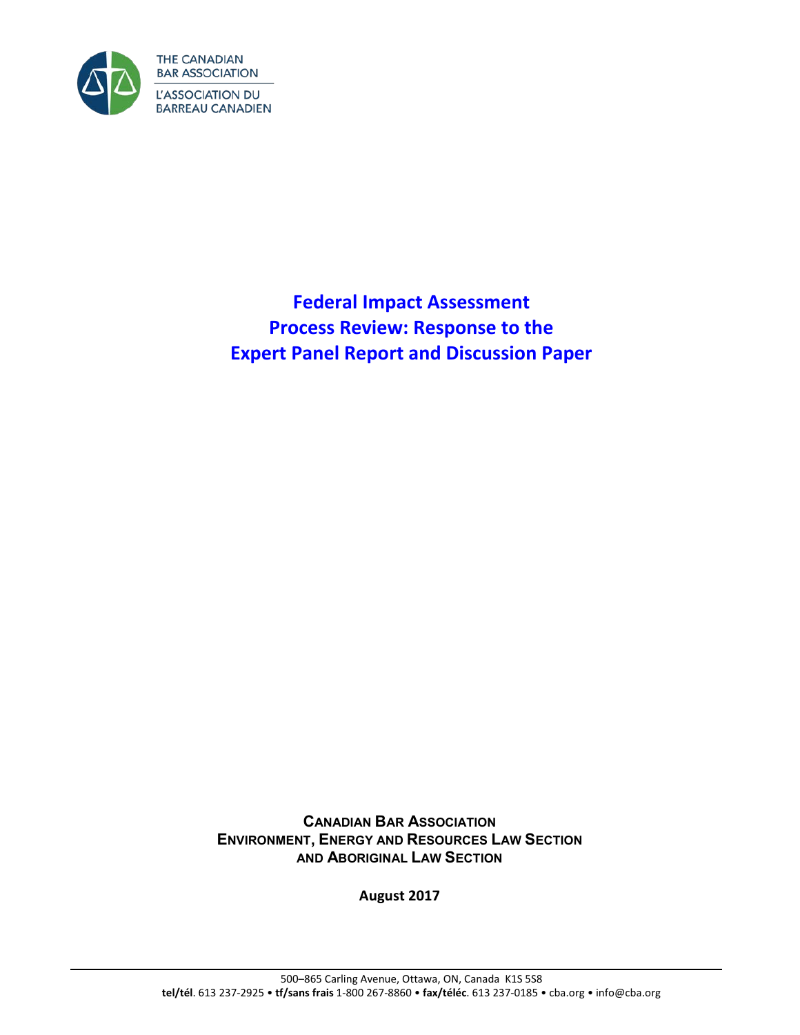

**Federal Impact Assessment Process Review: Response to the Expert Panel Report and Discussion Paper**

**CANADIAN BAR ASSOCIATION ENVIRONMENT, ENERGY AND RESOURCES LAW SECTION AND ABORIGINAL LAW SECTION**

**August 2017**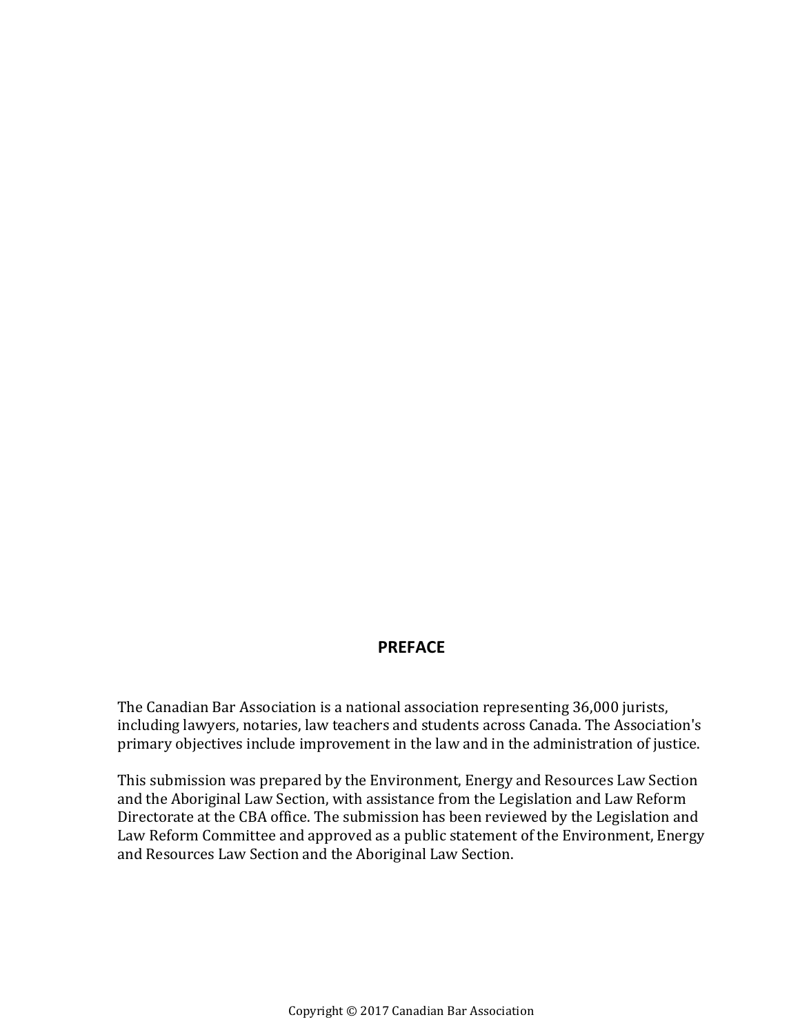### **PREFACE**

The Canadian Bar Association is a national association representing 36,000 jurists, including lawyers, notaries, law teachers and students across Canada. The Association's primary objectives include improvement in the law and in the administration of justice.

This submission was prepared by the Environment, Energy and Resources Law Section and the Aboriginal Law Section, with assistance from the Legislation and Law Reform Directorate at the CBA office. The submission has been reviewed by the Legislation and Law Reform Committee and approved as a public statement of the Environment, Energy and Resources Law Section and the Aboriginal Law Section.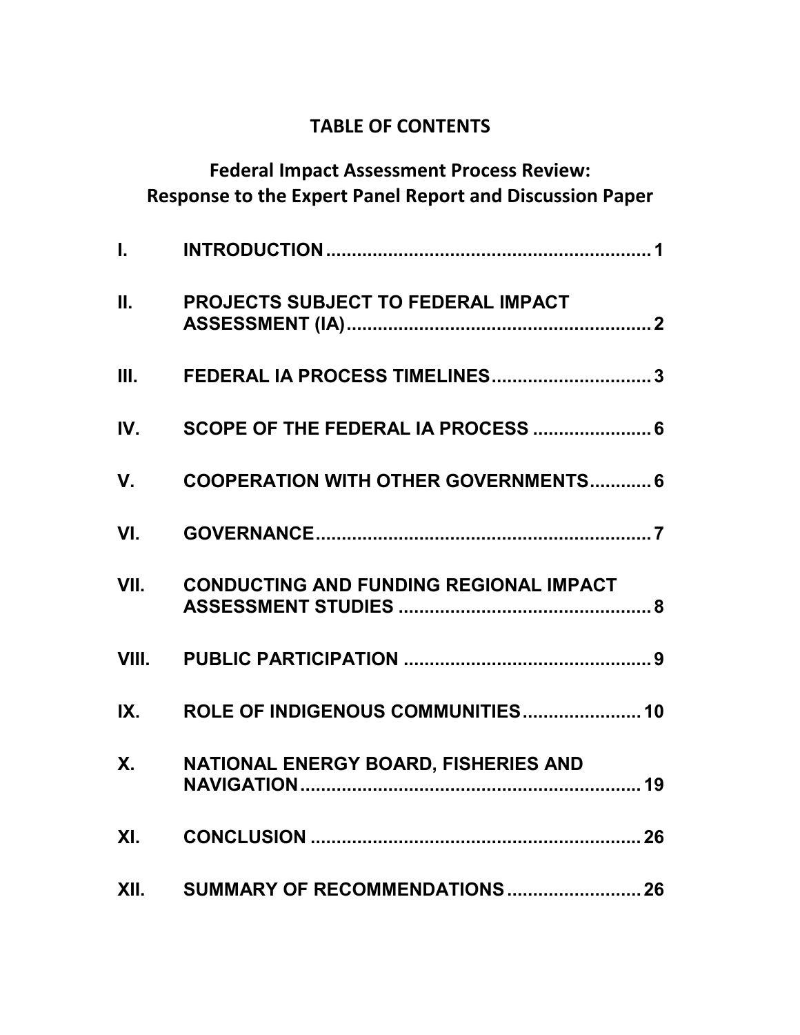## **TABLE OF CONTENTS**

| <b>Federal Impact Assessment Process Review:</b> |                                                                 |    |
|--------------------------------------------------|-----------------------------------------------------------------|----|
|                                                  | <b>Response to the Expert Panel Report and Discussion Paper</b> |    |
| $\mathbf{L}$                                     |                                                                 |    |
| П.                                               | PROJECTS SUBJECT TO FEDERAL IMPACT                              |    |
| III.                                             | FEDERAL IA PROCESS TIMELINES 3                                  |    |
| IV.                                              | SCOPE OF THE FEDERAL IA PROCESS  6                              |    |
| V.                                               | <b>COOPERATION WITH OTHER GOVERNMENTS 6</b>                     |    |
| VI.                                              |                                                                 |    |
| VII.                                             | <b>CONDUCTING AND FUNDING REGIONAL IMPACT</b>                   |    |
|                                                  |                                                                 |    |
| IX.                                              | ROLE OF INDIGENOUS COMMUNITIES 10                               |    |
| <b>X.</b>                                        | NATIONAL ENERGY BOARD, FISHERIES AND                            | 19 |
| XI.                                              |                                                                 |    |
|                                                  | XII. SUMMARY OF RECOMMENDATIONS  26                             |    |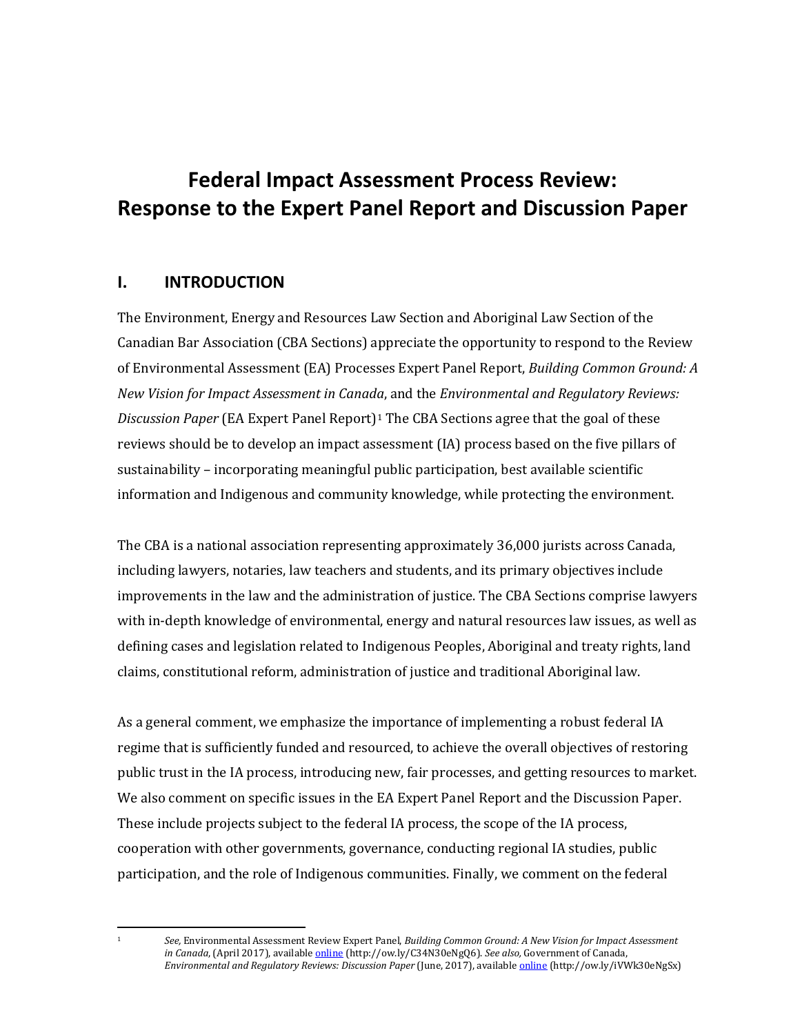# **Federal Impact Assessment Process Review: Response to the Expert Panel Report and Discussion Paper**

### <span id="page-4-0"></span>**I. INTRODUCTION**

The Environment, Energy and Resources Law Section and Aboriginal Law Section of the Canadian Bar Association (CBA Sections) appreciate the opportunity to respond to the Review of Environmental Assessment (EA) Processes Expert Panel Report, *Building Common Ground: A New Vision for Impact Assessment in Canada*, and the *Environmental and Regulatory Reviews: Discussion Paper* (EA Expert Panel Report)[1](#page-4-1) The CBA Sections agree that the goal of these reviews should be to develop an impact assessment (IA) process based on the five pillars of sustainability – incorporating meaningful public participation, best available scientific information and Indigenous and community knowledge, while protecting the environment.

The CBA is a national association representing approximately 36,000 jurists across Canada, including lawyers, notaries, law teachers and students, and its primary objectives include improvements in the law and the administration of justice. The CBA Sections comprise lawyers with in-depth knowledge of environmental, energy and natural resources law issues, as well as defining cases and legislation related to Indigenous Peoples, Aboriginal and treaty rights, land claims, constitutional reform, administration of justice and traditional Aboriginal law.

As a general comment, we emphasize the importance of implementing a robust federal IA regime that is sufficiently funded and resourced, to achieve the overall objectives of restoring public trust in the IA process, introducing new, fair processes, and getting resources to market. We also comment on specific issues in the EA Expert Panel Report and the Discussion Paper. These include projects subject to the federal IA process, the scope of the IA process, cooperation with other governments, governance, conducting regional IA studies, public participation, and the role of Indigenous communities. Finally, we comment on the federal

<span id="page-4-1"></span> $\overline{\phantom{a}}$ 

<sup>1</sup> *See,* Environmental Assessment Review Expert Panel, *Building Common Ground: A New Vision for Impact Assessment in Canada*, (April 2017), available [online](https://www.canada.ca/en/services/environment/conservation/assessments/environmental-reviews/environmental-assessment-processes/building-common-ground.html) (http://ow.ly/C34N30eNgQ6). *See also,* Government of Canada, *Environmental and Regulatory Reviews: Discussion Paper* (June, 2017), available [online](https://www.canada.ca/en/services/environment/conservation/assessments/environmental-reviews/share-your-views/proposed-approach.html) (http://ow.ly/iVWk30eNgSx)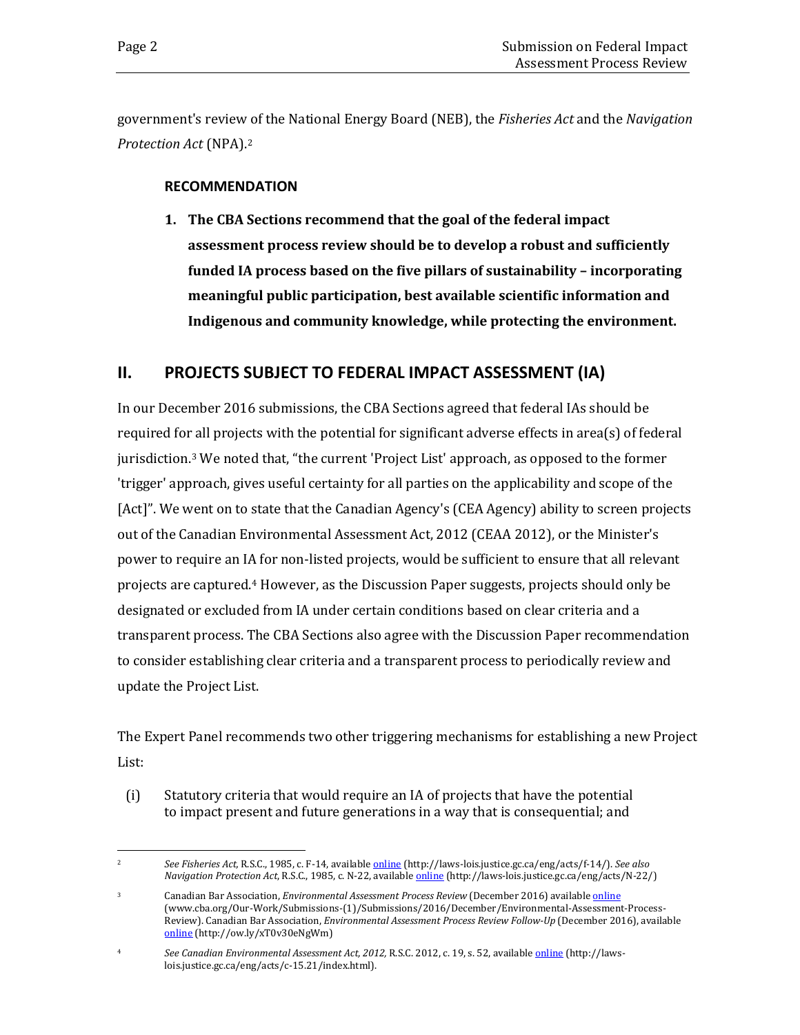government's review of the National Energy Board (NEB), the *Fisheries Act* and the *Navigation Protection Act* (NPA).[2](#page-5-1)

### **RECOMMENDATION**

**1. The CBA Sections recommend that the goal of the federal impact assessment process review should be to develop a robust and sufficiently funded IA process based on the five pillars of sustainability – incorporating meaningful public participation, best available scientific information and Indigenous and community knowledge, while protecting the environment.**

### <span id="page-5-0"></span>**II. PROJECTS SUBJECT TO FEDERAL IMPACT ASSESSMENT (IA)**

In our December 2016 submissions, the CBA Sections agreed that federal IAs should be required for all projects with the potential for significant adverse effects in area(s) of federal jurisdiction.[3](#page-5-2) We noted that, "the current 'Project List' approach, as opposed to the former 'trigger' approach, gives useful certainty for all parties on the applicability and scope of the [Act]". We went on to state that the Canadian Agency's (CEA Agency) ability to screen projects out of the Canadian Environmental Assessment Act, 2012 (CEAA 2012), or the Minister's power to require an IA for non-listed projects, would be sufficient to ensure that all relevant projects are captured.[4](#page-5-3) However, as the Discussion Paper suggests, projects should only be designated or excluded from IA under certain conditions based on clear criteria and a transparent process. The CBA Sections also agree with the Discussion Paper recommendation to consider establishing clear criteria and a transparent process to periodically review and update the Project List.

The Expert Panel recommends two other triggering mechanisms for establishing a new Project List:

(i) Statutory criteria that would require an IA of projects that have the potential to impact present and future generations in a way that is consequential; and

<span id="page-5-1"></span> $\overline{c}$ <sup>2</sup> *See Fisheries Act,* R.S.C., 1985, c. F-14, available [online](http://laws-lois.justice.gc.ca/eng/acts/f-14/) (http://laws-lois.justice.gc.ca/eng/acts/f-14/). *See also Navigation Protection Act*, R.S.C., 1985, c. N-22, available [online](http://laws-lois.justice.gc.ca/eng/acts/N-22/) (http://laws-lois.justice.gc.ca/eng/acts/N-22/)

<span id="page-5-2"></span><sup>3</sup> Canadian Bar Association, *Environmental Assessment Process Review* (December 2016) available [online](http://www.cba.org/Our-Work/Submissions-(1)/Submissions/2016/December/Environmental-Assessment-Process-Review) (www.cba.org/Our-Work/Submissions-(1)/Submissions/2016/December/Environmental-Assessment-Process-Review). Canadian Bar Association, *Environmental Assessment Process Review Follow-Up* (December 2016), available [online](http://www.cba.org/Our-Work/Submissions-(1)/Submissions/2016/December/Environmental-Assessment-Process-Review-Follow-Up) (http://ow.ly/xT0v30eNgWm)

<span id="page-5-3"></span><sup>4</sup> *See Canadian Environmental Assessment Act, 2012,* R.S.C. 2012, c. 19, s. 52, available [online](http://laws-lois.justice.gc.ca/eng/acts/c-15.21/index.html) (http://lawslois.justice.gc.ca/eng/acts/c-15.21/index.html).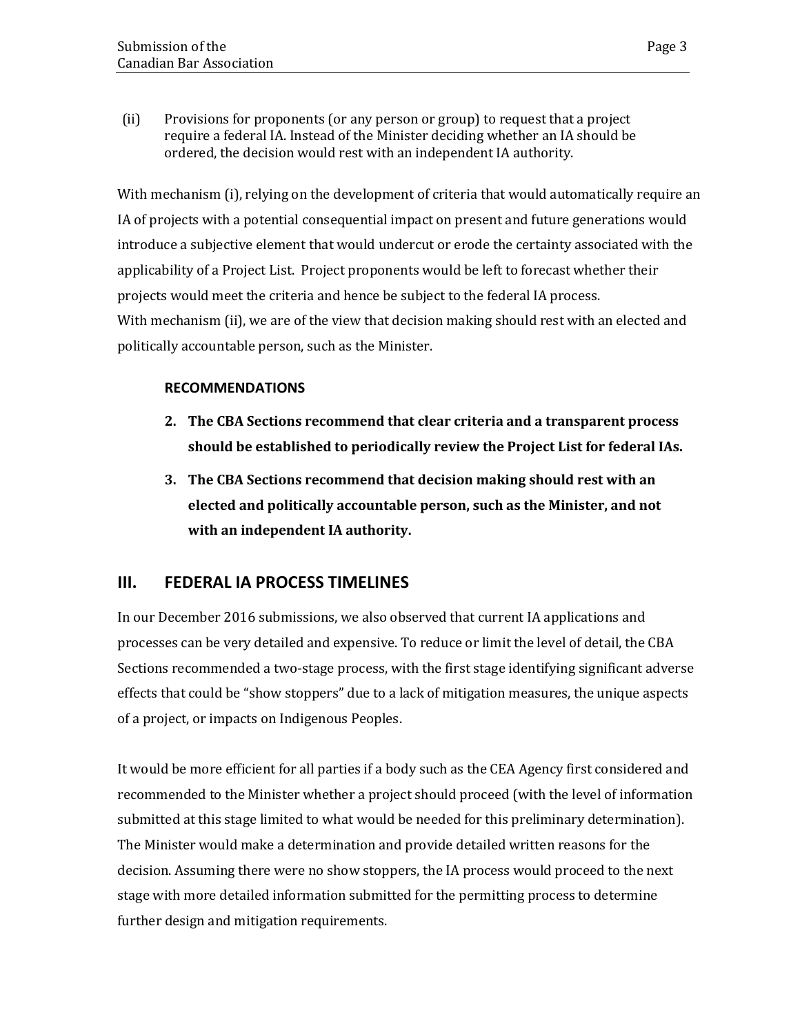(ii) Provisions for proponents (or any person or group) to request that a project require a federal IA. Instead of the Minister deciding whether an IA should be ordered, the decision would rest with an independent IA authority.

With mechanism (i), relying on the development of criteria that would automatically require an IA of projects with a potential consequential impact on present and future generations would introduce a subjective element that would undercut or erode the certainty associated with the applicability of a Project List. Project proponents would be left to forecast whether their projects would meet the criteria and hence be subject to the federal IA process. With mechanism (ii), we are of the view that decision making should rest with an elected and politically accountable person, such as the Minister.

### **RECOMMENDATIONS**

- **2. The CBA Sections recommend that clear criteria and a transparent process should be established to periodically review the Project List for federal IAs.**
- **3. The CBA Sections recommend that decision making should rest with an elected and politically accountable person, such as the Minister, and not with an independent IA authority.**

### <span id="page-6-0"></span>**III. FEDERAL IA PROCESS TIMELINES**

In our December 2016 submissions, we also observed that current IA applications and processes can be very detailed and expensive. To reduce or limit the level of detail, the CBA Sections recommended a two-stage process, with the first stage identifying significant adverse effects that could be "show stoppers" due to a lack of mitigation measures, the unique aspects of a project, or impacts on Indigenous Peoples.

It would be more efficient for all parties if a body such as the CEA Agency first considered and recommended to the Minister whether a project should proceed (with the level of information submitted at this stage limited to what would be needed for this preliminary determination). The Minister would make a determination and provide detailed written reasons for the decision. Assuming there were no show stoppers, the IA process would proceed to the next stage with more detailed information submitted for the permitting process to determine further design and mitigation requirements.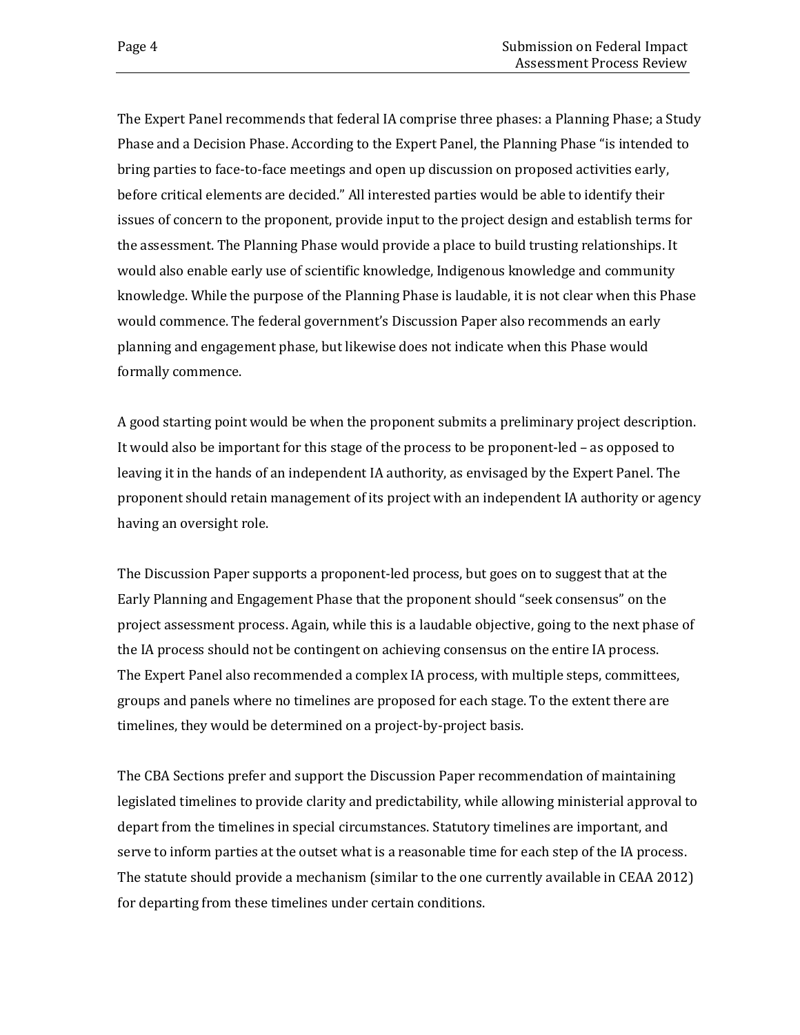The Expert Panel recommends that federal IA comprise three phases: a Planning Phase; a Study Phase and a Decision Phase. According to the Expert Panel, the Planning Phase "is intended to bring parties to face-to-face meetings and open up discussion on proposed activities early, before critical elements are decided." All interested parties would be able to identify their issues of concern to the proponent, provide input to the project design and establish terms for the assessment. The Planning Phase would provide a place to build trusting relationships. It would also enable early use of scientific knowledge, Indigenous knowledge and community knowledge. While the purpose of the Planning Phase is laudable, it is not clear when this Phase would commence. The federal government's Discussion Paper also recommends an early planning and engagement phase, but likewise does not indicate when this Phase would formally commence.

A good starting point would be when the proponent submits a preliminary project description. It would also be important for this stage of the process to be proponent-led – as opposed to leaving it in the hands of an independent IA authority, as envisaged by the Expert Panel. The proponent should retain management of its project with an independent IA authority or agency having an oversight role.

The Discussion Paper supports a proponent-led process, but goes on to suggest that at the Early Planning and Engagement Phase that the proponent should "seek consensus" on the project assessment process. Again, while this is a laudable objective, going to the next phase of the IA process should not be contingent on achieving consensus on the entire IA process. The Expert Panel also recommended a complex IA process, with multiple steps, committees, groups and panels where no timelines are proposed for each stage. To the extent there are timelines, they would be determined on a project-by-project basis.

The CBA Sections prefer and support the Discussion Paper recommendation of maintaining legislated timelines to provide clarity and predictability, while allowing ministerial approval to depart from the timelines in special circumstances. Statutory timelines are important, and serve to inform parties at the outset what is a reasonable time for each step of the IA process. The statute should provide a mechanism (similar to the one currently available in CEAA 2012) for departing from these timelines under certain conditions.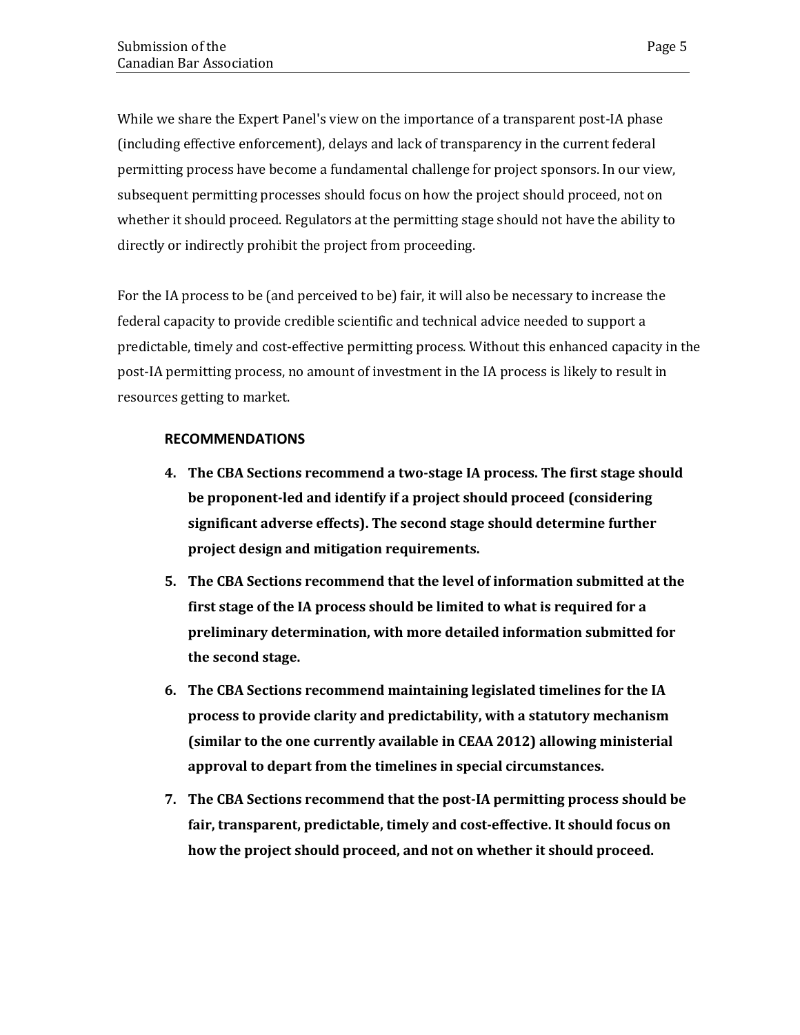While we share the Expert Panel's view on the importance of a transparent post-IA phase (including effective enforcement), delays and lack of transparency in the current federal permitting process have become a fundamental challenge for project sponsors. In our view, subsequent permitting processes should focus on how the project should proceed, not on whether it should proceed. Regulators at the permitting stage should not have the ability to directly or indirectly prohibit the project from proceeding.

For the IA process to be (and perceived to be) fair, it will also be necessary to increase the federal capacity to provide credible scientific and technical advice needed to support a predictable, timely and cost-effective permitting process. Without this enhanced capacity in the post-IA permitting process, no amount of investment in the IA process is likely to result in resources getting to market.

### **RECOMMENDATIONS**

- **4. The CBA Sections recommend a two-stage IA process. The first stage should be proponent-led and identify if a project should proceed (considering significant adverse effects). The second stage should determine further project design and mitigation requirements.**
- **5. The CBA Sections recommend that the level of information submitted at the first stage of the IA process should be limited to what is required for a preliminary determination, with more detailed information submitted for the second stage.**
- **6. The CBA Sections recommend maintaining legislated timelines for the IA process to provide clarity and predictability, with a statutory mechanism (similar to the one currently available in CEAA 2012) allowing ministerial approval to depart from the timelines in special circumstances.**
- **7. The CBA Sections recommend that the post-IA permitting process should be fair, transparent, predictable, timely and cost-effective. It should focus on how the project should proceed, and not on whether it should proceed.**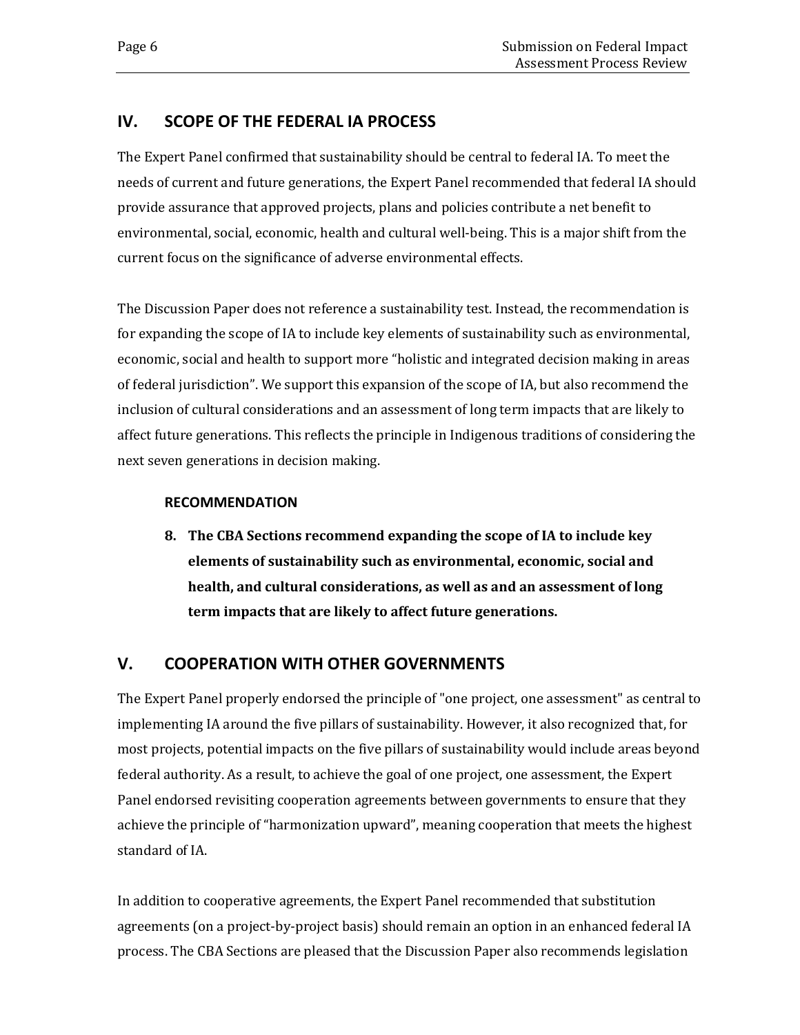## <span id="page-9-0"></span>**IV. SCOPE OF THE FEDERAL IA PROCESS**

The Expert Panel confirmed that sustainability should be central to federal IA. To meet the needs of current and future generations, the Expert Panel recommended that federal IA should provide assurance that approved projects, plans and policies contribute a net benefit to environmental, social, economic, health and cultural well-being. This is a major shift from the current focus on the significance of adverse environmental effects.

The Discussion Paper does not reference a sustainability test. Instead, the recommendation is for expanding the scope of IA to include key elements of sustainability such as environmental, economic, social and health to support more "holistic and integrated decision making in areas of federal jurisdiction". We support this expansion of the scope of IA, but also recommend the inclusion of cultural considerations and an assessment of long term impacts that are likely to affect future generations. This reflects the principle in Indigenous traditions of considering the next seven generations in decision making.

### **RECOMMENDATION**

**8. The CBA Sections recommend expanding the scope of IA to include key elements of sustainability such as environmental, economic, social and health, and cultural considerations, as well as and an assessment of long term impacts that are likely to affect future generations.** 

## <span id="page-9-1"></span>**V. COOPERATION WITH OTHER GOVERNMENTS**

The Expert Panel properly endorsed the principle of "one project, one assessment" as central to implementing IA around the five pillars of sustainability. However, it also recognized that, for most projects, potential impacts on the five pillars of sustainability would include areas beyond federal authority. As a result, to achieve the goal of one project, one assessment, the Expert Panel endorsed revisiting cooperation agreements between governments to ensure that they achieve the principle of "harmonization upward", meaning cooperation that meets the highest standard of IA.

In addition to cooperative agreements, the Expert Panel recommended that substitution agreements (on a project-by-project basis) should remain an option in an enhanced federal IA process. The CBA Sections are pleased that the Discussion Paper also recommends legislation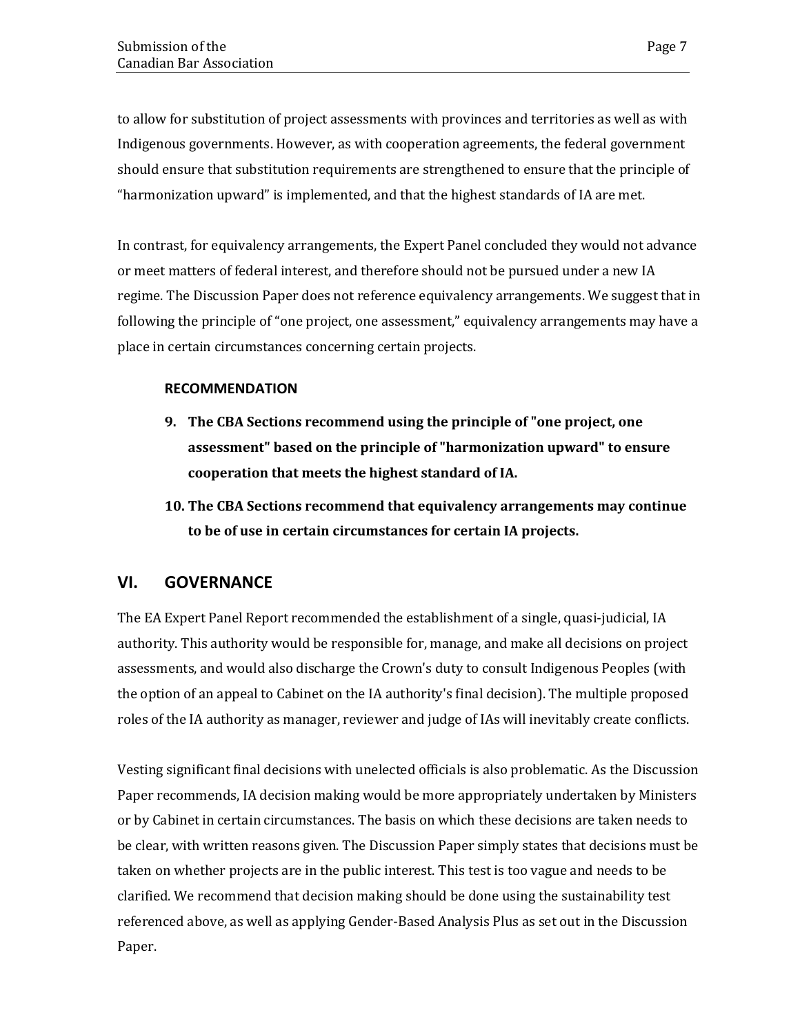to allow for substitution of project assessments with provinces and territories as well as with Indigenous governments. However, as with cooperation agreements, the federal government should ensure that substitution requirements are strengthened to ensure that the principle of "harmonization upward" is implemented, and that the highest standards of IA are met.

In contrast, for equivalency arrangements, the Expert Panel concluded they would not advance or meet matters of federal interest, and therefore should not be pursued under a new IA regime. The Discussion Paper does not reference equivalency arrangements. We suggest that in following the principle of "one project, one assessment," equivalency arrangements may have a place in certain circumstances concerning certain projects.

### **RECOMMENDATION**

- **9. The CBA Sections recommend using the principle of "one project, one assessment" based on the principle of "harmonization upward" to ensure cooperation that meets the highest standard of IA.**
- **10. The CBA Sections recommend that equivalency arrangements may continue to be of use in certain circumstances for certain IA projects.**

### <span id="page-10-0"></span>**VI. GOVERNANCE**

The EA Expert Panel Report recommended the establishment of a single, quasi-judicial, IA authority. This authority would be responsible for, manage, and make all decisions on project assessments, and would also discharge the Crown's duty to consult Indigenous Peoples (with the option of an appeal to Cabinet on the IA authority's final decision). The multiple proposed roles of the IA authority as manager, reviewer and judge of IAs will inevitably create conflicts.

Vesting significant final decisions with unelected officials is also problematic. As the Discussion Paper recommends, IA decision making would be more appropriately undertaken by Ministers or by Cabinet in certain circumstances. The basis on which these decisions are taken needs to be clear, with written reasons given. The Discussion Paper simply states that decisions must be taken on whether projects are in the public interest. This test is too vague and needs to be clarified. We recommend that decision making should be done using the sustainability test referenced above, as well as applying Gender-Based Analysis Plus as set out in the Discussion Paper.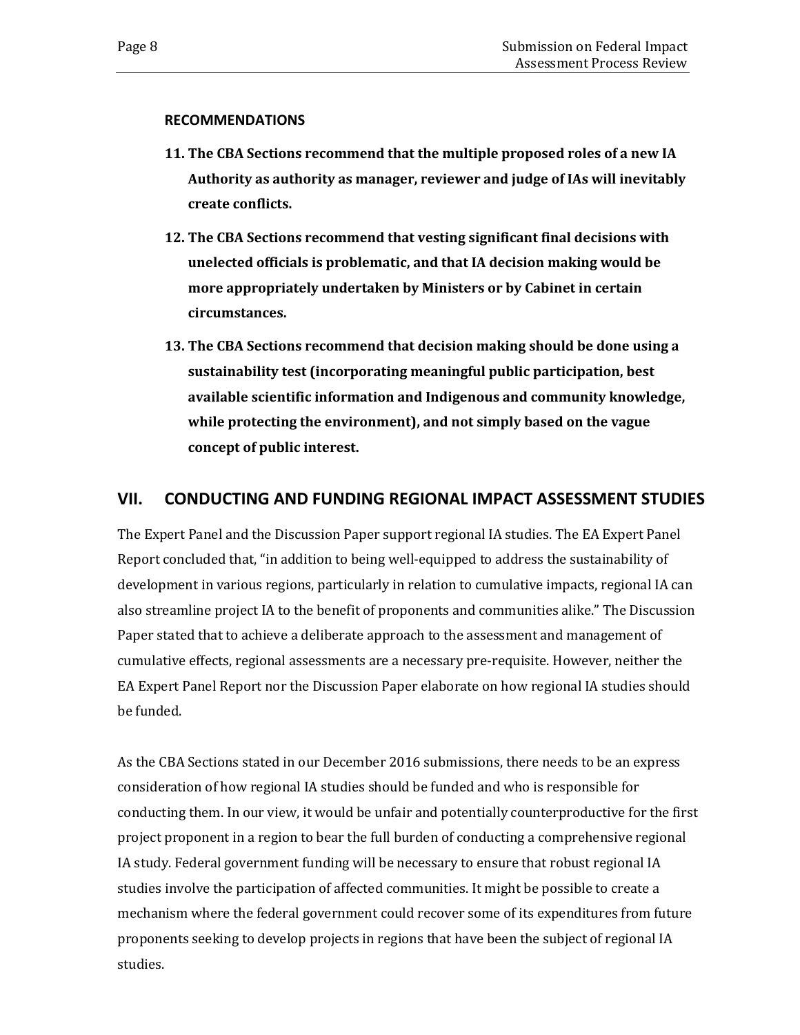#### **RECOMMENDATIONS**

- **11. The CBA Sections recommend that the multiple proposed roles of a new IA Authority as authority as manager, reviewer and judge of IAs will inevitably create conflicts.**
- **12. The CBA Sections recommend that vesting significant final decisions with unelected officials is problematic, and that IA decision making would be more appropriately undertaken by Ministers or by Cabinet in certain circumstances.**
- **13. The CBA Sections recommend that decision making should be done using a sustainability test (incorporating meaningful public participation, best available scientific information and Indigenous and community knowledge, while protecting the environment), and not simply based on the vague concept of public interest.**

### <span id="page-11-0"></span>**VII. CONDUCTING AND FUNDING REGIONAL IMPACT ASSESSMENT STUDIES**

The Expert Panel and the Discussion Paper support regional IA studies. The EA Expert Panel Report concluded that, "in addition to being well-equipped to address the sustainability of development in various regions, particularly in relation to cumulative impacts, regional IA can also streamline project IA to the benefit of proponents and communities alike." The Discussion Paper stated that to achieve a deliberate approach to the assessment and management of cumulative effects, regional assessments are a necessary pre-requisite. However, neither the EA Expert Panel Report nor the Discussion Paper elaborate on how regional IA studies should be funded.

As the CBA Sections stated in our December 2016 submissions, there needs to be an express consideration of how regional IA studies should be funded and who is responsible for conducting them. In our view, it would be unfair and potentially counterproductive for the first project proponent in a region to bear the full burden of conducting a comprehensive regional IA study. Federal government funding will be necessary to ensure that robust regional IA studies involve the participation of affected communities. It might be possible to create a mechanism where the federal government could recover some of its expenditures from future proponents seeking to develop projects in regions that have been the subject of regional IA studies.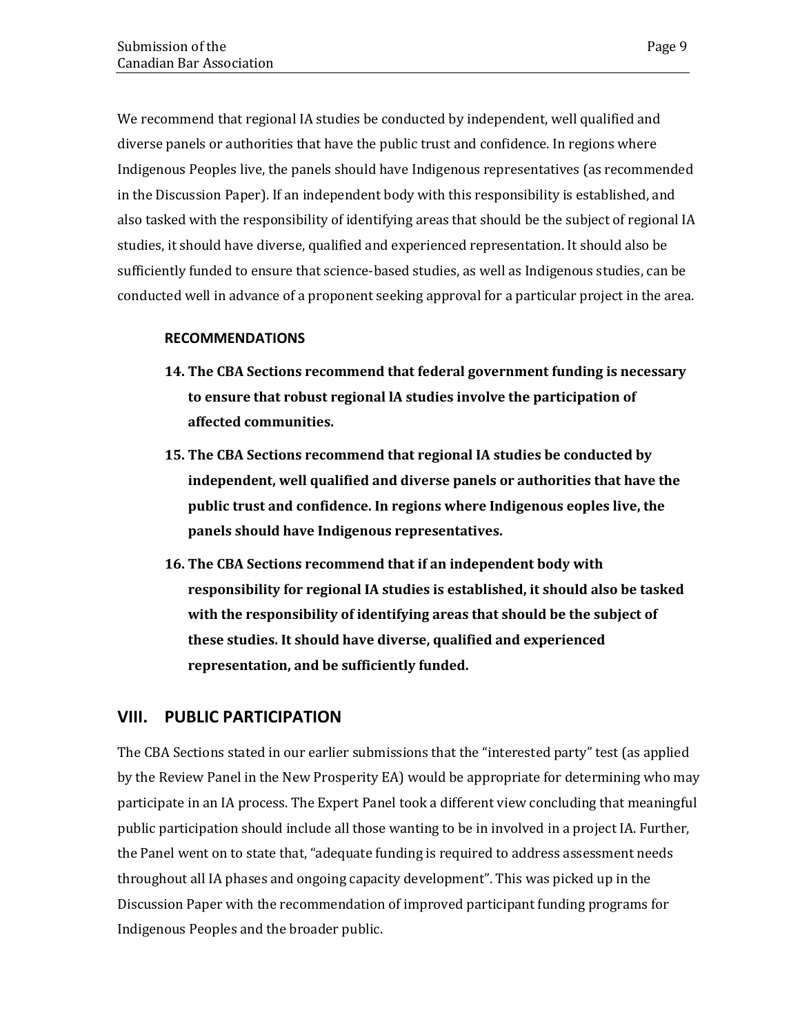We recommend that regional IA studies be conducted by independent, well qualified and diverse panels or authorities that have the public trust and confidence. In regions where Indigenous Peoples live, the panels should have Indigenous representatives (as recommended in the Discussion Paper). If an independent body with this responsibility is established, and also tasked with the responsibility of identifying areas that should be the subject of regional IA studies, it should have diverse, qualified and experienced representation. It should also be sufficiently funded to ensure that science-based studies, as well as Indigenous studies, can be conducted well in advance of a proponent seeking approval for a particular project in the area.

### **RECOMMENDATIONS**

- **14. The CBA Sections recommend that federal government funding is necessary to ensure that robust regional lA studies involve the participation of affected communities.**
- **15. The CBA Sections recommend that regional IA studies be conducted by independent, well qualified and diverse panels or authorities that have the public trust and confidence. In regions where Indigenous eoples live, the panels should have Indigenous representatives.**
- **16. The CBA Sections recommend that if an independent body with responsibility for regional IA studies is established, it should also be tasked with the responsibility of identifying areas that should be the subject of these studies. It should have diverse, qualified and experienced representation, and be sufficiently funded.**

### <span id="page-12-0"></span>**VIII. PUBLIC PARTICIPATION**

The CBA Sections stated in our earlier submissions that the "interested party" test (as applied by the Review Panel in the New Prosperity EA) would be appropriate for determining who may participate in an IA process. The Expert Panel took a different view concluding that meaningful public participation should include all those wanting to be in involved in a project IA. Further, the Panel went on to state that, "adequate funding is required to address assessment needs throughout all IA phases and ongoing capacity development". This was picked up in the Discussion Paper with the recommendation of improved participant funding programs for Indigenous Peoples and the broader public.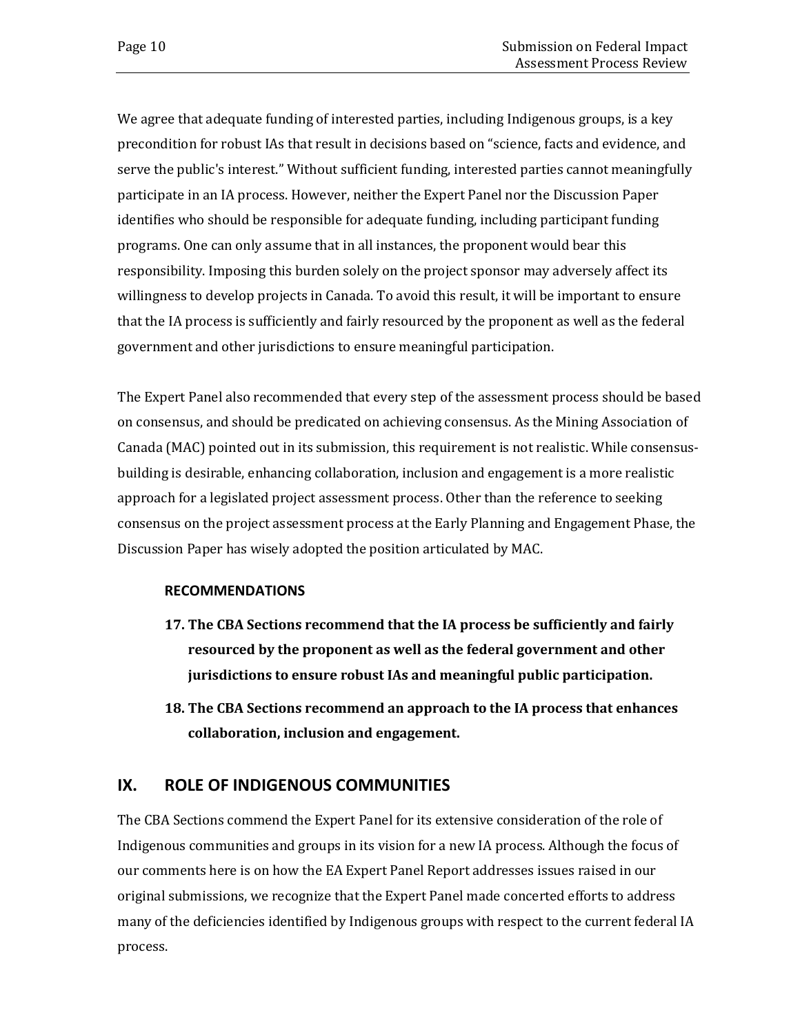We agree that adequate funding of interested parties, including Indigenous groups, is a key precondition for robust IAs that result in decisions based on "science, facts and evidence, and serve the public's interest." Without sufficient funding, interested parties cannot meaningfully participate in an IA process. However, neither the Expert Panel nor the Discussion Paper identifies who should be responsible for adequate funding, including participant funding programs. One can only assume that in all instances, the proponent would bear this responsibility. Imposing this burden solely on the project sponsor may adversely affect its willingness to develop projects in Canada. To avoid this result, it will be important to ensure that the IA process is sufficiently and fairly resourced by the proponent as well as the federal government and other jurisdictions to ensure meaningful participation.

The Expert Panel also recommended that every step of the assessment process should be based on consensus, and should be predicated on achieving consensus. As the Mining Association of Canada (MAC) pointed out in its submission, this requirement is not realistic. While consensusbuilding is desirable, enhancing collaboration, inclusion and engagement is a more realistic approach for a legislated project assessment process. Other than the reference to seeking consensus on the project assessment process at the Early Planning and Engagement Phase, the Discussion Paper has wisely adopted the position articulated by MAC.

### **RECOMMENDATIONS**

- **17. The CBA Sections recommend that the IA process be sufficiently and fairly resourced by the proponent as well as the federal government and other jurisdictions to ensure robust IAs and meaningful public participation.**
- **18. The CBA Sections recommend an approach to the IA process that enhances collaboration, inclusion and engagement.**

### <span id="page-13-0"></span>**IX. ROLE OF INDIGENOUS COMMUNITIES**

The CBA Sections commend the Expert Panel for its extensive consideration of the role of Indigenous communities and groups in its vision for a new IA process. Although the focus of our comments here is on how the EA Expert Panel Report addresses issues raised in our original submissions, we recognize that the Expert Panel made concerted efforts to address many of the deficiencies identified by Indigenous groups with respect to the current federal IA process.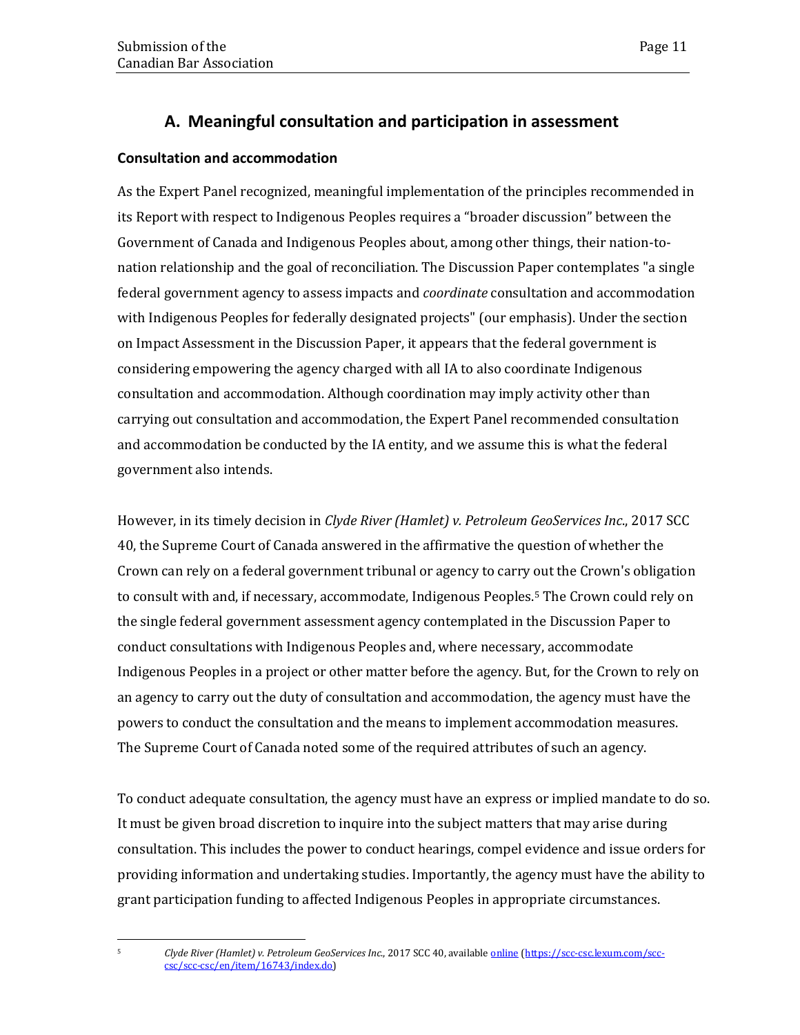## **A. Meaningful consultation and participation in assessment**

### **Consultation and accommodation**

As the Expert Panel recognized, meaningful implementation of the principles recommended in its Report with respect to Indigenous Peoples requires a "broader discussion" between the Government of Canada and Indigenous Peoples about, among other things, their nation-tonation relationship and the goal of reconciliation. The Discussion Paper contemplates "a single federal government agency to assess impacts and *coordinate* consultation and accommodation with Indigenous Peoples for federally designated projects" (our emphasis). Under the section on Impact Assessment in the Discussion Paper, it appears that the federal government is considering empowering the agency charged with all IA to also coordinate Indigenous consultation and accommodation. Although coordination may imply activity other than carrying out consultation and accommodation, the Expert Panel recommended consultation and accommodation be conducted by the IA entity, and we assume this is what the federal government also intends.

However, in its timely decision in *Clyde River (Hamlet) v. Petroleum GeoServices Inc*., 2017 SCC 40, the Supreme Court of Canada answered in the affirmative the question of whether the Crown can rely on a federal government tribunal or agency to carry out the Crown's obligation to consult with and, if necessary, accommodate, Indigenous Peoples.[5](#page-14-0) The Crown could rely on the single federal government assessment agency contemplated in the Discussion Paper to conduct consultations with Indigenous Peoples and, where necessary, accommodate Indigenous Peoples in a project or other matter before the agency. But, for the Crown to rely on an agency to carry out the duty of consultation and accommodation, the agency must have the powers to conduct the consultation and the means to implement accommodation measures. The Supreme Court of Canada noted some of the required attributes of such an agency.

To conduct adequate consultation, the agency must have an express or implied mandate to do so. It must be given broad discretion to inquire into the subject matters that may arise during consultation. This includes the power to conduct hearings, compel evidence and issue orders for providing information and undertaking studies. Importantly, the agency must have the ability to grant participation funding to affected Indigenous Peoples in appropriate circumstances.

<span id="page-14-0"></span> $\overline{5}$ 

<sup>5</sup> *Clyde River (Hamlet) v. Petroleum GeoServices Inc*., 2017 SCC 40, available [online](https://scc-csc.lexum.com/scc-csc/scc-csc/en/item/16743/index.do) [\(https://scc-csc.lexum.com/scc](https://scc-csc.lexum.com/scc-csc/scc-csc/en/item/16743/index.do)[csc/scc-csc/en/item/16743/index.do\)](https://scc-csc.lexum.com/scc-csc/scc-csc/en/item/16743/index.do)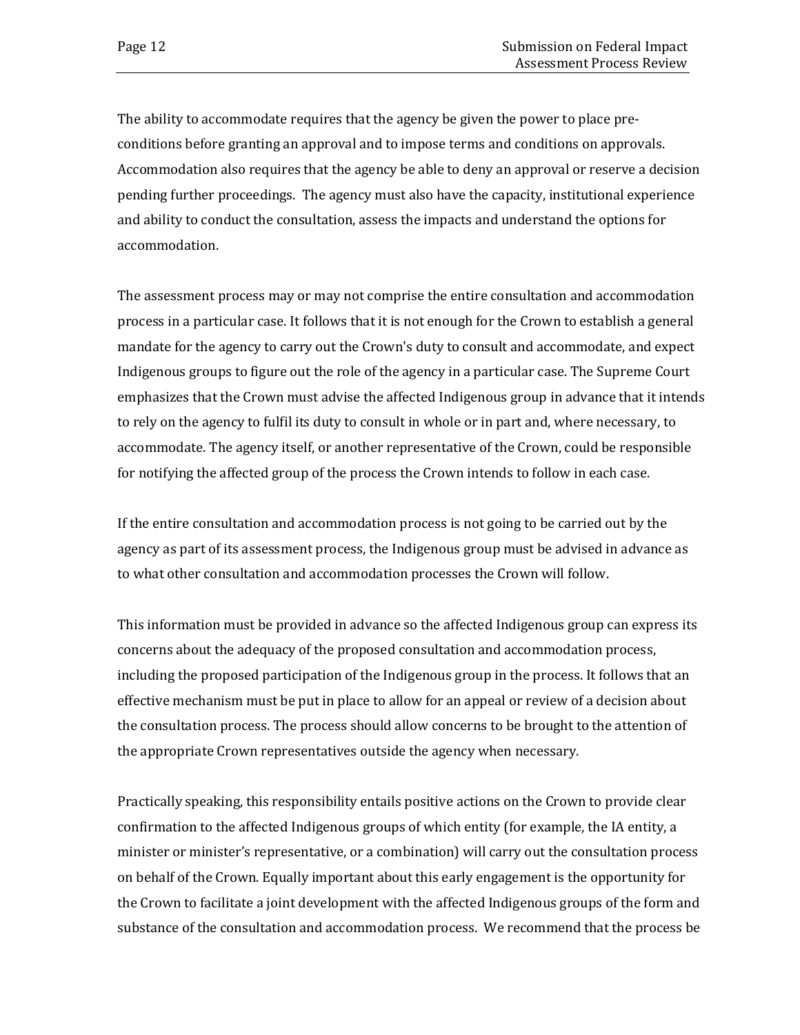The ability to accommodate requires that the agency be given the power to place preconditions before granting an approval and to impose terms and conditions on approvals. Accommodation also requires that the agency be able to deny an approval or reserve a decision pending further proceedings. The agency must also have the capacity, institutional experience and ability to conduct the consultation, assess the impacts and understand the options for accommodation.

The assessment process may or may not comprise the entire consultation and accommodation process in a particular case. It follows that it is not enough for the Crown to establish a general mandate for the agency to carry out the Crown's duty to consult and accommodate, and expect Indigenous groups to figure out the role of the agency in a particular case. The Supreme Court emphasizes that the Crown must advise the affected Indigenous group in advance that it intends to rely on the agency to fulfil its duty to consult in whole or in part and, where necessary, to accommodate. The agency itself, or another representative of the Crown, could be responsible for notifying the affected group of the process the Crown intends to follow in each case.

If the entire consultation and accommodation process is not going to be carried out by the agency as part of its assessment process, the Indigenous group must be advised in advance as to what other consultation and accommodation processes the Crown will follow.

This information must be provided in advance so the affected Indigenous group can express its concerns about the adequacy of the proposed consultation and accommodation process, including the proposed participation of the Indigenous group in the process. It follows that an effective mechanism must be put in place to allow for an appeal or review of a decision about the consultation process. The process should allow concerns to be brought to the attention of the appropriate Crown representatives outside the agency when necessary.

Practically speaking, this responsibility entails positive actions on the Crown to provide clear confirmation to the affected Indigenous groups of which entity (for example, the IA entity, a minister or minister's representative, or a combination) will carry out the consultation process on behalf of the Crown. Equally important about this early engagement is the opportunity for the Crown to facilitate a joint development with the affected Indigenous groups of the form and substance of the consultation and accommodation process. We recommend that the process be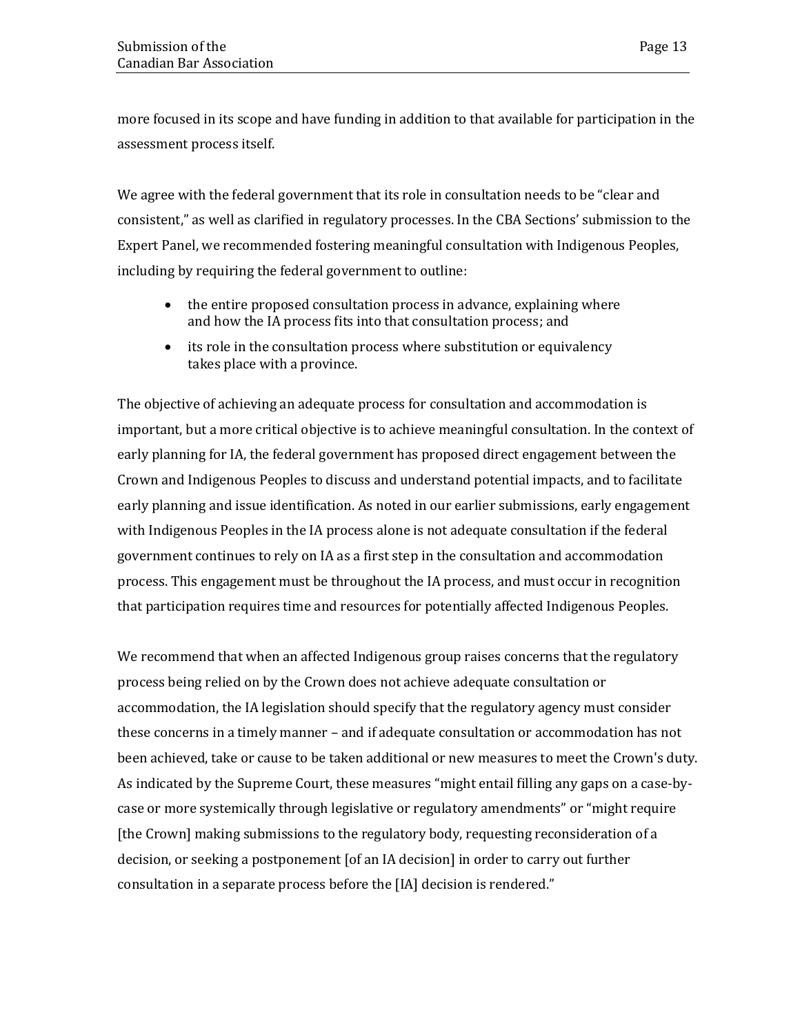more focused in its scope and have funding in addition to that available for participation in the assessment process itself.

We agree with the federal government that its role in consultation needs to be "clear and consistent," as well as clarified in regulatory processes. In the CBA Sections' submission to the Expert Panel, we recommended fostering meaningful consultation with Indigenous Peoples, including by requiring the federal government to outline:

- the entire proposed consultation process in advance, explaining where and how the IA process fits into that consultation process; and
- its role in the consultation process where substitution or equivalency takes place with a province.

The objective of achieving an adequate process for consultation and accommodation is important, but a more critical objective is to achieve meaningful consultation. In the context of early planning for IA, the federal government has proposed direct engagement between the Crown and Indigenous Peoples to discuss and understand potential impacts, and to facilitate early planning and issue identification. As noted in our earlier submissions, early engagement with Indigenous Peoples in the IA process alone is not adequate consultation if the federal government continues to rely on IA as a first step in the consultation and accommodation process. This engagement must be throughout the IA process, and must occur in recognition that participation requires time and resources for potentially affected Indigenous Peoples.

We recommend that when an affected Indigenous group raises concerns that the regulatory process being relied on by the Crown does not achieve adequate consultation or accommodation, the IA legislation should specify that the regulatory agency must consider these concerns in a timely manner – and if adequate consultation or accommodation has not been achieved, take or cause to be taken additional or new measures to meet the Crown's duty. As indicated by the Supreme Court, these measures "might entail filling any gaps on a case-bycase or more systemically through legislative or regulatory amendments" or "might require [the Crown] making submissions to the regulatory body, requesting reconsideration of a decision, or seeking a postponement [of an IA decision] in order to carry out further consultation in a separate process before the [IA] decision is rendered."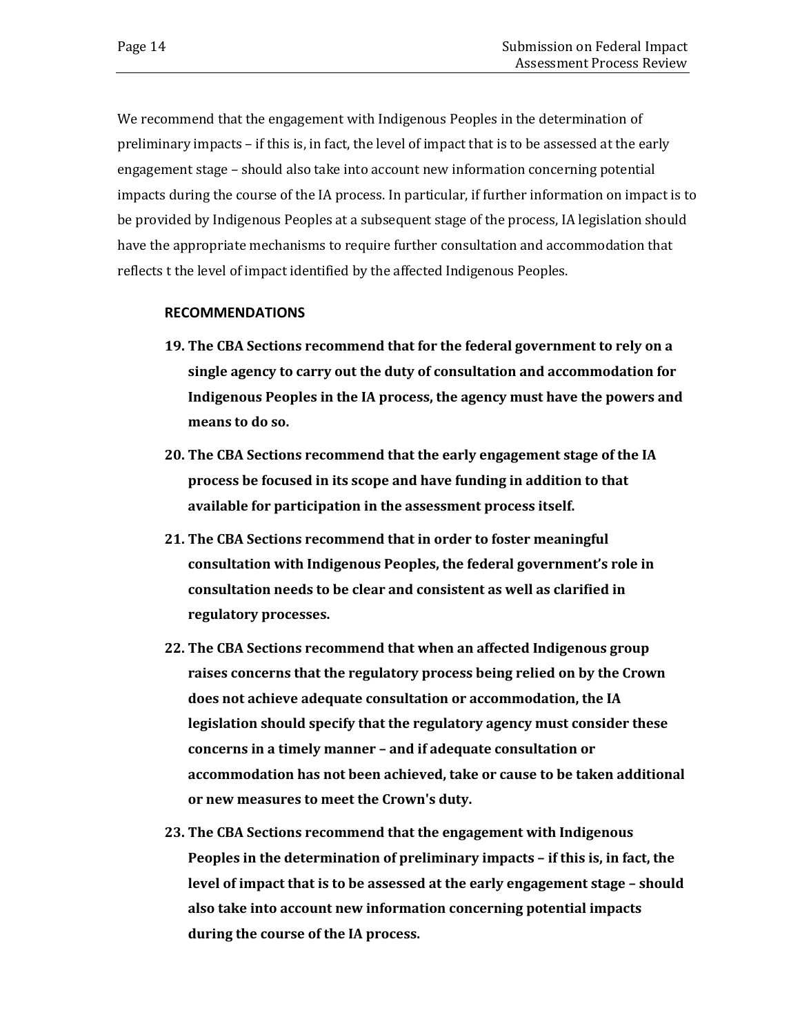We recommend that the engagement with Indigenous Peoples in the determination of preliminary impacts – if this is, in fact, the level of impact that is to be assessed at the early engagement stage – should also take into account new information concerning potential impacts during the course of the IA process. In particular, if further information on impact is to be provided by Indigenous Peoples at a subsequent stage of the process, IA legislation should have the appropriate mechanisms to require further consultation and accommodation that reflects t the level of impact identified by the affected Indigenous Peoples.

#### **RECOMMENDATIONS**

- **19. The CBA Sections recommend that for the federal government to rely on a single agency to carry out the duty of consultation and accommodation for Indigenous Peoples in the IA process, the agency must have the powers and means to do so.**
- **20. The CBA Sections recommend that the early engagement stage of the IA process be focused in its scope and have funding in addition to that available for participation in the assessment process itself.**
- **21. The CBA Sections recommend that in order to foster meaningful consultation with Indigenous Peoples, the federal government's role in consultation needs to be clear and consistent as well as clarified in regulatory processes.**
- **22. The CBA Sections recommend that when an affected Indigenous group raises concerns that the regulatory process being relied on by the Crown does not achieve adequate consultation or accommodation, the IA legislation should specify that the regulatory agency must consider these concerns in a timely manner – and if adequate consultation or accommodation has not been achieved, take or cause to be taken additional or new measures to meet the Crown's duty.**
- **23. The CBA Sections recommend that the engagement with Indigenous Peoples in the determination of preliminary impacts – if this is, in fact, the level of impact that is to be assessed at the early engagement stage – should also take into account new information concerning potential impacts during the course of the IA process.**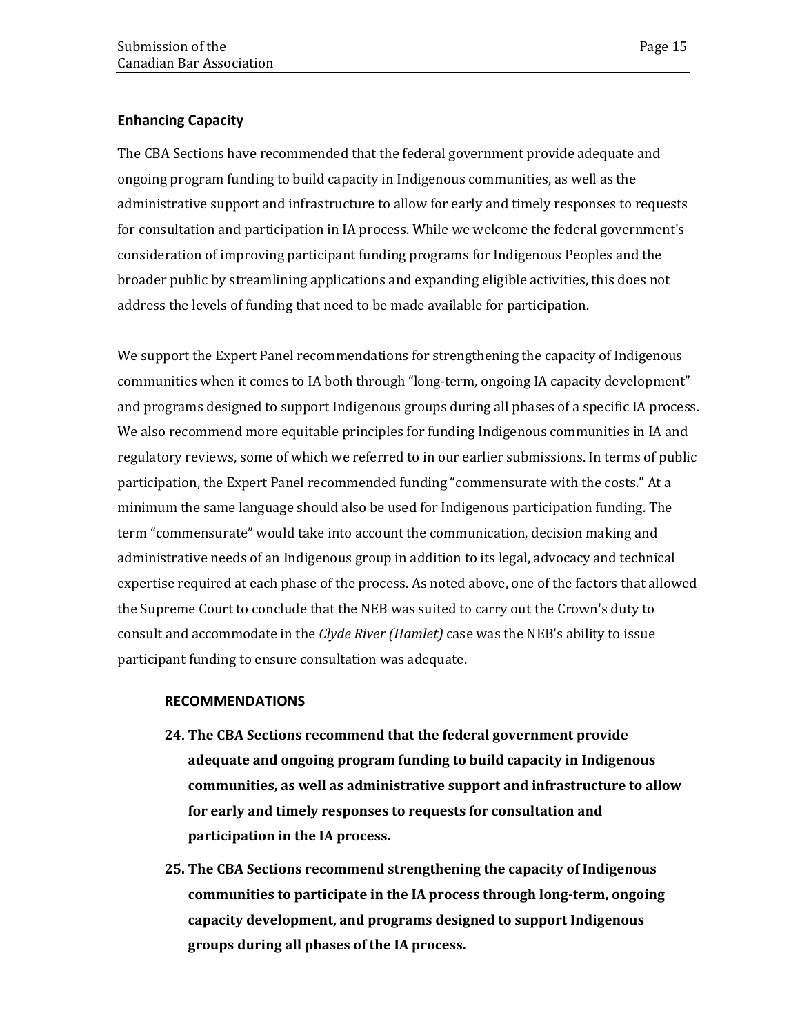### **Enhancing Capacity**

The CBA Sections have recommended that the federal government provide adequate and ongoing program funding to build capacity in Indigenous communities, as well as the administrative support and infrastructure to allow for early and timely responses to requests for consultation and participation in IA process. While we welcome the federal government's consideration of improving participant funding programs for Indigenous Peoples and the broader public by streamlining applications and expanding eligible activities, this does not address the levels of funding that need to be made available for participation.

We support the Expert Panel recommendations for strengthening the capacity of Indigenous communities when it comes to IA both through "long-term, ongoing IA capacity development" and programs designed to support Indigenous groups during all phases of a specific IA process. We also recommend more equitable principles for funding Indigenous communities in IA and regulatory reviews, some of which we referred to in our earlier submissions. In terms of public participation, the Expert Panel recommended funding "commensurate with the costs." At a minimum the same language should also be used for Indigenous participation funding. The term "commensurate" would take into account the communication, decision making and administrative needs of an Indigenous group in addition to its legal, advocacy and technical expertise required at each phase of the process. As noted above, one of the factors that allowed the Supreme Court to conclude that the NEB was suited to carry out the Crown's duty to consult and accommodate in the *Clyde River (Hamlet)* case was the NEB's ability to issue participant funding to ensure consultation was adequate.

#### **RECOMMENDATIONS**

- **24. The CBA Sections recommend that the federal government provide adequate and ongoing program funding to build capacity in Indigenous communities, as well as administrative support and infrastructure to allow for early and timely responses to requests for consultation and participation in the IA process.**
- **25. The CBA Sections recommend strengthening the capacity of Indigenous communities to participate in the IA process through long-term, ongoing capacity development, and programs designed to support Indigenous groups during all phases of the IA process.**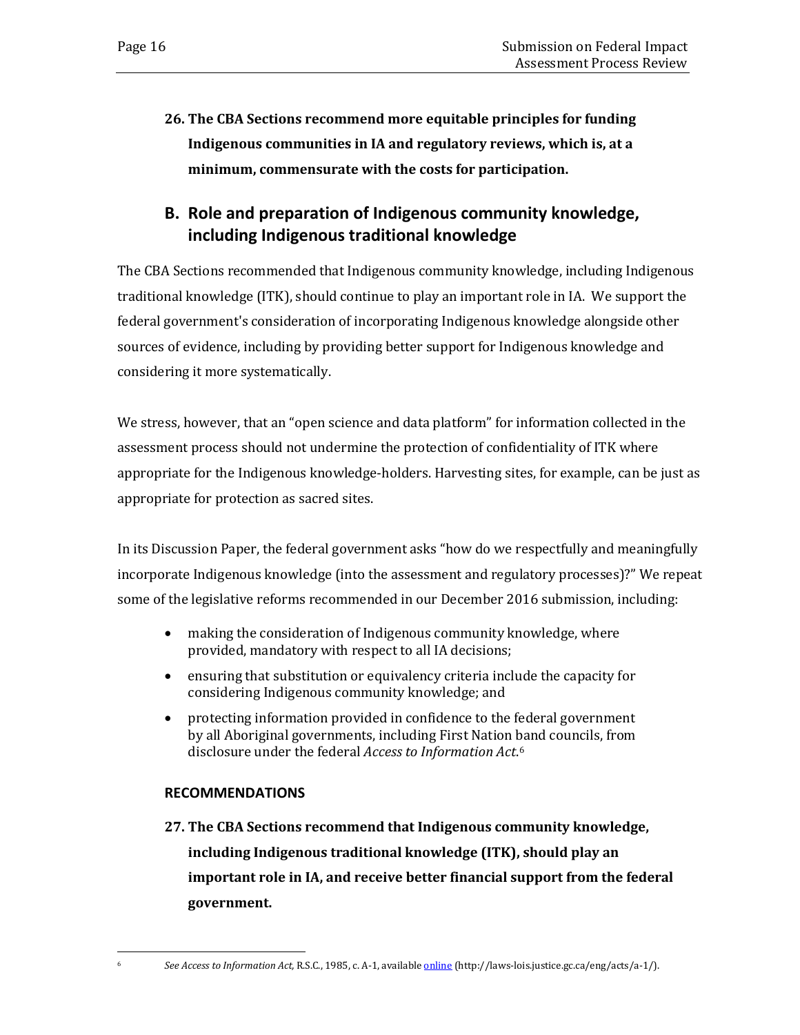**26. The CBA Sections recommend more equitable principles for funding Indigenous communities in IA and regulatory reviews, which is, at a minimum, commensurate with the costs for participation.**

## **B. Role and preparation of Indigenous community knowledge, including Indigenous traditional knowledge**

The CBA Sections recommended that Indigenous community knowledge, including Indigenous traditional knowledge (ITK), should continue to play an important role in IA. We support the federal government's consideration of incorporating Indigenous knowledge alongside other sources of evidence, including by providing better support for Indigenous knowledge and considering it more systematically.

We stress, however, that an "open science and data platform" for information collected in the assessment process should not undermine the protection of confidentiality of ITK where appropriate for the Indigenous knowledge-holders. Harvesting sites, for example, can be just as appropriate for protection as sacred sites.

In its Discussion Paper, the federal government asks "how do we respectfully and meaningfully incorporate Indigenous knowledge (into the assessment and regulatory processes)?" We repeat some of the legislative reforms recommended in our December 2016 submission, including:

- making the consideration of Indigenous community knowledge, where provided, mandatory with respect to all IA decisions;
- ensuring that substitution or equivalency criteria include the capacity for considering Indigenous community knowledge; and
- protecting information provided in confidence to the federal government by all Aboriginal governments, including First Nation [ba](#page-19-0)nd councils, from disclosure under the federal *Access to Information Act*.6

### **RECOMMENDATIONS**

**27. The CBA Sections recommend that Indigenous community knowledge, including Indigenous traditional knowledge (ITK), should play an important role in IA, and receive better financial support from the federal government.** 

<span id="page-19-0"></span>j

<sup>6</sup> *See Access to Information Act,* R.S.C., 1985, c. A-1, available [online](http://laws-lois.justice.gc.ca/eng/acts/a-1/) (http://laws-lois.justice.gc.ca/eng/acts/a-1/).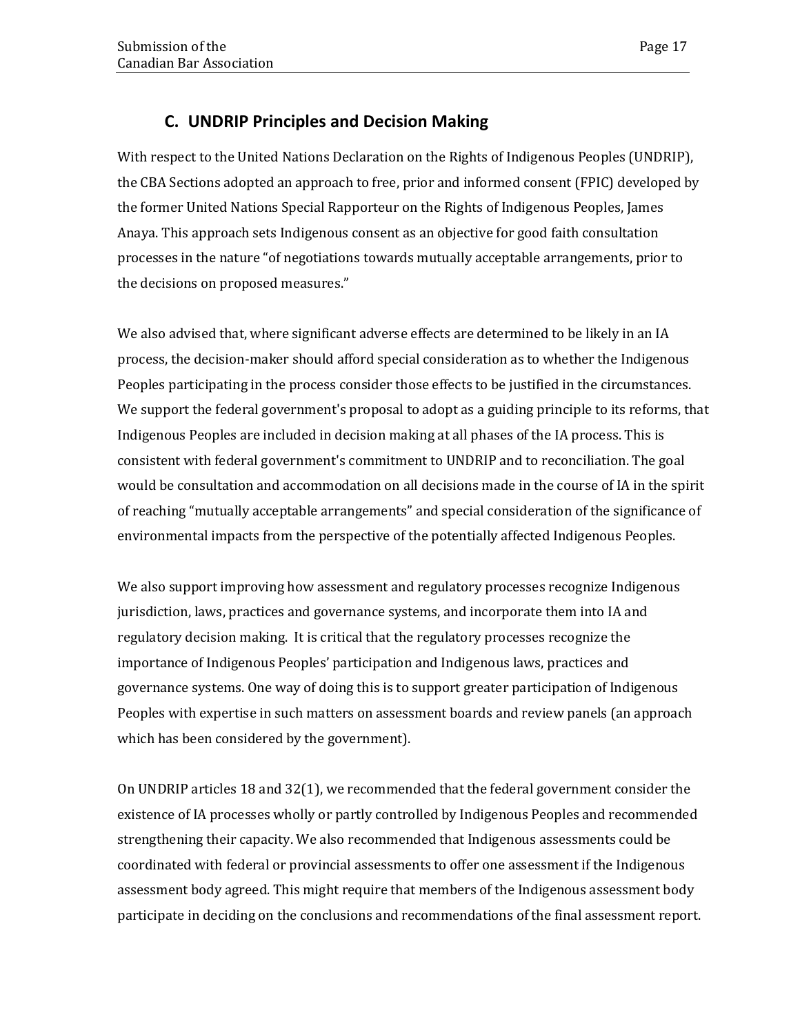## **C. UNDRIP Principles and Decision Making**

With respect to the United Nations Declaration on the Rights of Indigenous Peoples (UNDRIP), the CBA Sections adopted an approach to free, prior and informed consent (FPIC) developed by the former United Nations Special Rapporteur on the Rights of Indigenous Peoples, James Anaya. This approach sets Indigenous consent as an objective for good faith consultation processes in the nature "of negotiations towards mutually acceptable arrangements, prior to the decisions on proposed measures."

We also advised that, where significant adverse effects are determined to be likely in an IA process, the decision-maker should afford special consideration as to whether the Indigenous Peoples participating in the process consider those effects to be justified in the circumstances. We support the federal government's proposal to adopt as a guiding principle to its reforms, that Indigenous Peoples are included in decision making at all phases of the IA process. This is consistent with federal government's commitment to UNDRIP and to reconciliation. The goal would be consultation and accommodation on all decisions made in the course of IA in the spirit of reaching "mutually acceptable arrangements" and special consideration of the significance of environmental impacts from the perspective of the potentially affected Indigenous Peoples.

We also support improving how assessment and regulatory processes recognize Indigenous jurisdiction, laws, practices and governance systems, and incorporate them into IA and regulatory decision making. It is critical that the regulatory processes recognize the importance of Indigenous Peoples' participation and Indigenous laws, practices and governance systems. One way of doing this is to support greater participation of Indigenous Peoples with expertise in such matters on assessment boards and review panels (an approach which has been considered by the government).

On UNDRIP articles 18 and 32(1), we recommended that the federal government consider the existence of IA processes wholly or partly controlled by Indigenous Peoples and recommended strengthening their capacity. We also recommended that Indigenous assessments could be coordinated with federal or provincial assessments to offer one assessment if the Indigenous assessment body agreed. This might require that members of the Indigenous assessment body participate in deciding on the conclusions and recommendations of the final assessment report.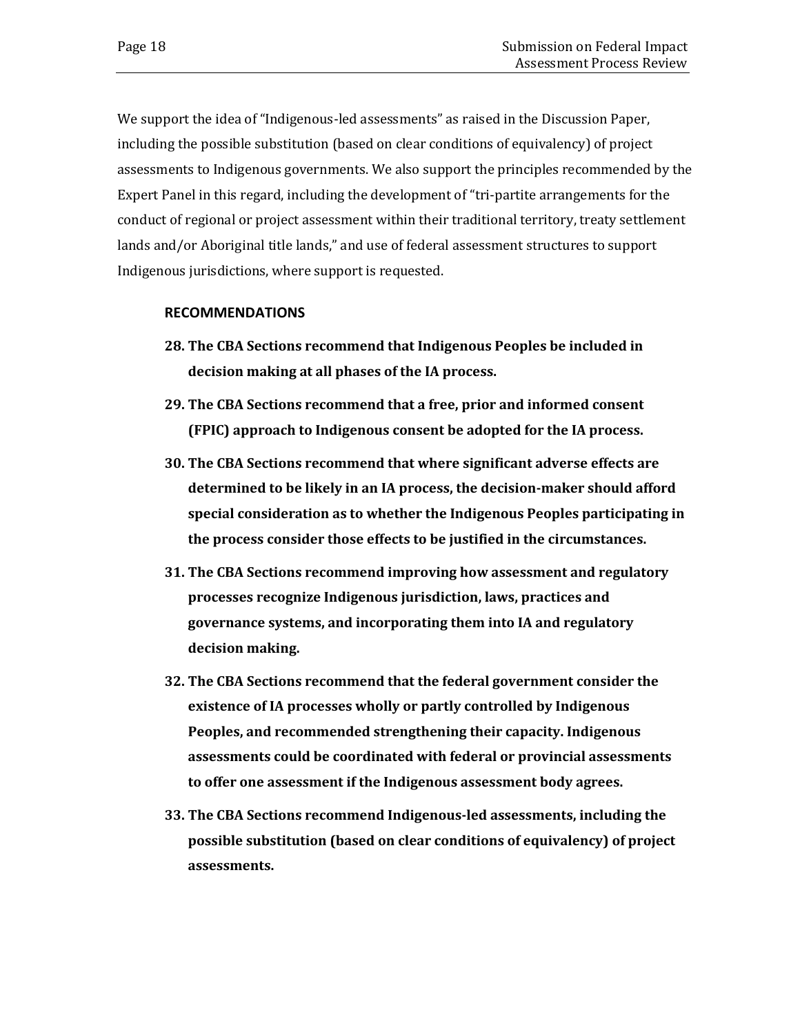We support the idea of "Indigenous-led assessments" as raised in the Discussion Paper, including the possible substitution (based on clear conditions of equivalency) of project assessments to Indigenous governments. We also support the principles recommended by the Expert Panel in this regard, including the development of "tri-partite arrangements for the conduct of regional or project assessment within their traditional territory, treaty settlement lands and/or Aboriginal title lands," and use of federal assessment structures to support Indigenous jurisdictions, where support is requested.

#### **RECOMMENDATIONS**

- **28. The CBA Sections recommend that Indigenous Peoples be included in decision making at all phases of the IA process.**
- **29. The CBA Sections recommend that a free, prior and informed consent (FPIC) approach to Indigenous consent be adopted for the IA process.**
- **30. The CBA Sections recommend that where significant adverse effects are determined to be likely in an IA process, the decision-maker should afford special consideration as to whether the Indigenous Peoples participating in the process consider those effects to be justified in the circumstances.**
- **31. The CBA Sections recommend improving how assessment and regulatory processes recognize Indigenous jurisdiction, laws, practices and governance systems, and incorporating them into IA and regulatory decision making.**
- **32. The CBA Sections recommend that the federal government consider the existence of IA processes wholly or partly controlled by Indigenous Peoples, and recommended strengthening their capacity. Indigenous assessments could be coordinated with federal or provincial assessments to offer one assessment if the Indigenous assessment body agrees.**
- **33. The CBA Sections recommend Indigenous-led assessments, including the possible substitution (based on clear conditions of equivalency) of project assessments.**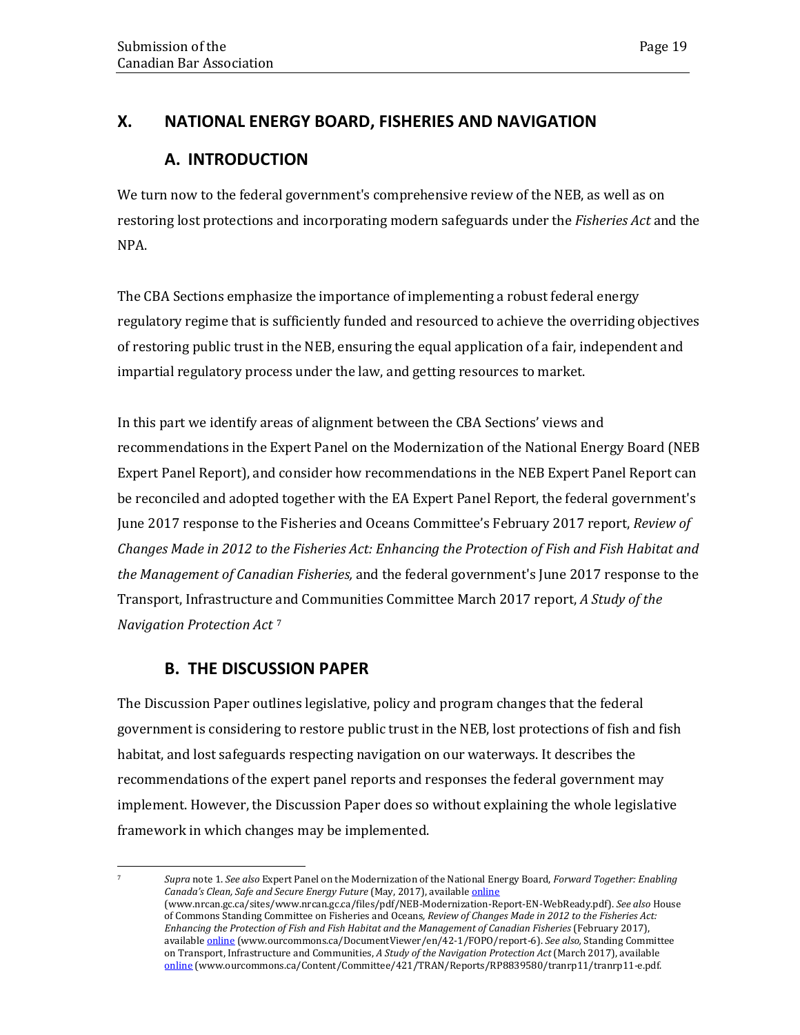## <span id="page-22-0"></span>**X. NATIONAL ENERGY BOARD, FISHERIES AND NAVIGATION**

## **A. INTRODUCTION**

We turn now to the federal government's comprehensive review of the NEB, as well as on restoring lost protections and incorporating modern safeguards under the *Fisheries Act* and the NPA.

The CBA Sections emphasize the importance of implementing a robust federal energy regulatory regime that is sufficiently funded and resourced to achieve the overriding objectives of restoring public trust in the NEB, ensuring the equal application of a fair, independent and impartial regulatory process under the law, and getting resources to market.

In this part we identify areas of alignment between the CBA Sections' views and recommendations in the Expert Panel on the Modernization of the National Energy Board (NEB Expert Panel Report), and consider how recommendations in the NEB Expert Panel Report can be reconciled and adopted together with the EA Expert Panel Report, the federal government's June 2017 response to the Fisheries and Oceans Committee's February 2017 report, *Review of Changes Made in 2012 to the Fisheries Act: Enhancing the Protection of Fish and Fish Habitat and the Management of Canadian Fisheries,* and the federal government's June 2017 response to the Transport, Infrastructure [a](#page-22-1)nd Communities Committee March 2017 report, *A Study of the Navigation Protection Act* <sup>7</sup>

## **B. THE DISCUSSION PAPER**

<span id="page-22-1"></span>l

The Discussion Paper outlines legislative, policy and program changes that the federal government is considering to restore public trust in the NEB, lost protections of fish and fish habitat, and lost safeguards respecting navigation on our waterways. It describes the recommendations of the expert panel reports and responses the federal government may implement. However, the Discussion Paper does so without explaining the whole legislative framework in which changes may be implemented.

<sup>7</sup> *Supra* note 1. *See also* Expert Panel on the Modernization of the National Energy Board, *Forward Together: Enabling*  Canada's Clean, Safe and Secure Energy Future (May, 2017), available *[online](https://www.nrcan.gc.ca/sites/www.nrcan.gc.ca/files/pdf/NEB-Modernization-Report-EN-WebReady.pdf)* (www.nrcan.gc.ca/sites/www.nrcan.gc.ca/files/pdf/NEB-Modernization-Report-EN-WebReady.pdf). *See also* House of Commons Standing Committee on Fisheries and Oceans*, Review of Changes Made in 2012 to the Fisheries Act: Enhancing the Protection of Fish and Fish Habitat and the Management of Canadian Fisheries (February 2017),* available [online](http://www.ourcommons.ca/DocumentViewer/en/42-1/FOPO/report-6) (www.ourcommons.ca/DocumentViewer/en/42-1/FOPO/report-6). *See also,* Standing Committee on Transport, Infrastructure and Communities, *A Study of the Navigation Protection Act* (March 2017), available [online](https://www.ourcommons.ca/Content/Committee/421/TRAN/Reports/RP8839580/tranrp11/tranrp11-e.pdf) (www.ourcommons.ca/Content/Committee/421/TRAN/Reports/RP8839580/tranrp11/tranrp11-e.pdf.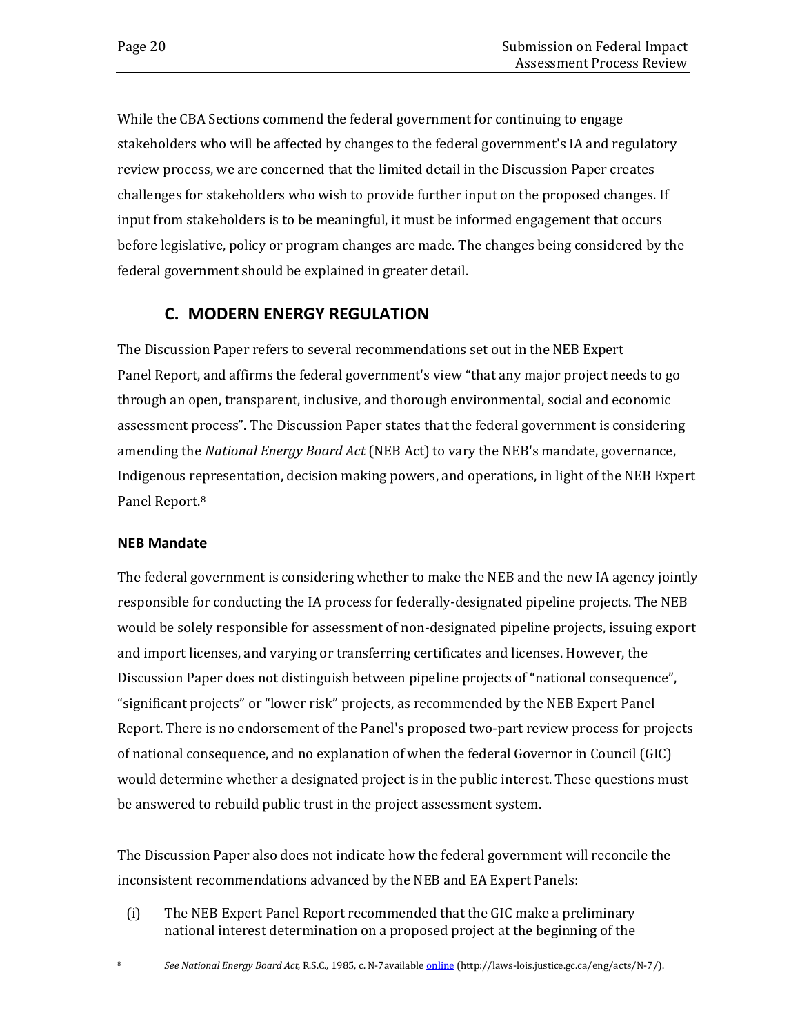While the CBA Sections commend the federal government for continuing to engage stakeholders who will be affected by changes to the federal government's IA and regulatory review process, we are concerned that the limited detail in the Discussion Paper creates challenges for stakeholders who wish to provide further input on the proposed changes. If input from stakeholders is to be meaningful, it must be informed engagement that occurs before legislative, policy or program changes are made. The changes being considered by the federal government should be explained in greater detail.

## **C. MODERN ENERGY REGULATION**

The Discussion Paper refers to several recommendations set out in the NEB Expert Panel Report, and affirms the federal government's view "that any major project needs to go through an open, transparent, inclusive, and thorough environmental, social and economic assessment process". The Discussion Paper states that the federal government is considering amending the *National Energy Board Act* (NEB Act) to vary the NEB's mandate, governance, Indigenous representation, decision making powers, and operations, in light of the NEB Expert Panel Report.[8](#page-23-0)

### **NEB Mandate**

The federal government is considering whether to make the NEB and the new IA agency jointly responsible for conducting the IA process for federally-designated pipeline projects. The NEB would be solely responsible for assessment of non-designated pipeline projects, issuing export and import licenses, and varying or transferring certificates and licenses. However, the Discussion Paper does not distinguish between pipeline projects of "national consequence", "significant projects" or "lower risk" projects, as recommended by the NEB Expert Panel Report. There is no endorsement of the Panel's proposed two-part review process for projects of national consequence, and no explanation of when the federal Governor in Council (GIC) would determine whether a designated project is in the public interest. These questions must be answered to rebuild public trust in the project assessment system.

The Discussion Paper also does not indicate how the federal government will reconcile the inconsistent recommendations advanced by the NEB and EA Expert Panels:

(i) The NEB Expert Panel Report recommended that the GIC make a preliminary national interest determination on a proposed project at the beginning of the

<sup>8</sup> *See National Energy Board Act,* R.S.C., 1985, c. N-7available [online](http://laws-lois.justice.gc.ca/eng/acts/N-7/) (http://laws-lois.justice.gc.ca/eng/acts/N-7/).

<span id="page-23-0"></span>j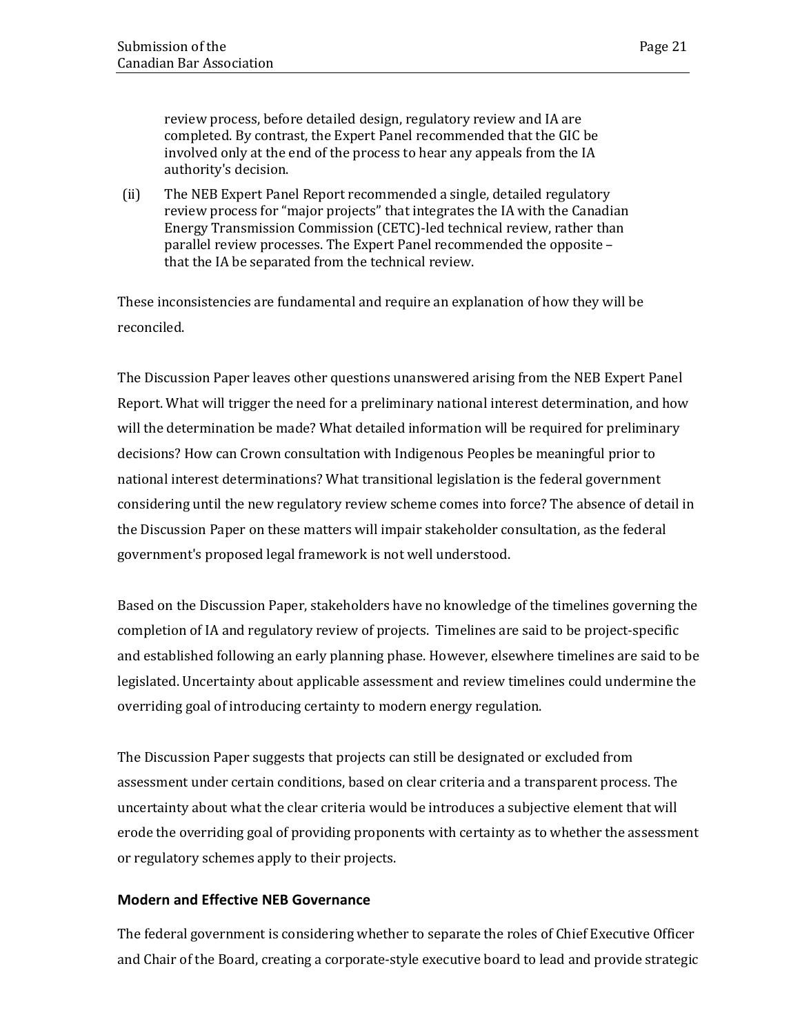review process, before detailed design, regulatory review and IA are completed. By contrast, the Expert Panel recommended that the GIC be involved only at the end of the process to hear any appeals from the IA authority's decision.

(ii) The NEB Expert Panel Report recommended a single, detailed regulatory review process for "major projects" that integrates the IA with the Canadian Energy Transmission Commission (CETC)-led technical review, rather than parallel review processes. The Expert Panel recommended the opposite – that the IA be separated from the technical review.

These inconsistencies are fundamental and require an explanation of how they will be reconciled.

The Discussion Paper leaves other questions unanswered arising from the NEB Expert Panel Report. What will trigger the need for a preliminary national interest determination, and how will the determination be made? What detailed information will be required for preliminary decisions? How can Crown consultation with Indigenous Peoples be meaningful prior to national interest determinations? What transitional legislation is the federal government considering until the new regulatory review scheme comes into force? The absence of detail in the Discussion Paper on these matters will impair stakeholder consultation, as the federal government's proposed legal framework is not well understood.

Based on the Discussion Paper, stakeholders have no knowledge of the timelines governing the completion of IA and regulatory review of projects. Timelines are said to be project-specific and established following an early planning phase. However, elsewhere timelines are said to be legislated. Uncertainty about applicable assessment and review timelines could undermine the overriding goal of introducing certainty to modern energy regulation.

The Discussion Paper suggests that projects can still be designated or excluded from assessment under certain conditions, based on clear criteria and a transparent process. The uncertainty about what the clear criteria would be introduces a subjective element that will erode the overriding goal of providing proponents with certainty as to whether the assessment or regulatory schemes apply to their projects.

### **Modern and Effective NEB Governance**

The federal government is considering whether to separate the roles of Chief Executive Officer and Chair of the Board, creating a corporate-style executive board to lead and provide strategic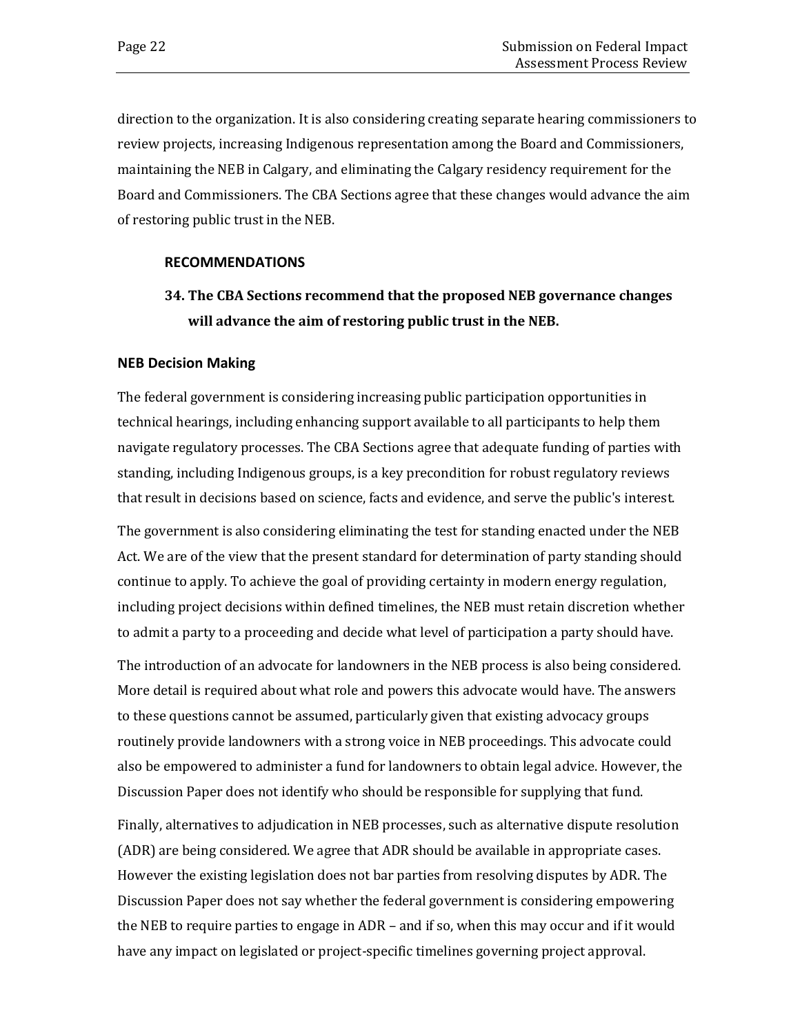direction to the organization. It is also considering creating separate hearing commissioners to review projects, increasing Indigenous representation among the Board and Commissioners, maintaining the NEB in Calgary, and eliminating the Calgary residency requirement for the Board and Commissioners. The CBA Sections agree that these changes would advance the aim of restoring public trust in the NEB.

#### **RECOMMENDATIONS**

## **34. The CBA Sections recommend that the proposed NEB governance changes will advance the aim of restoring public trust in the NEB.**

### **NEB Decision Making**

The federal government is considering increasing public participation opportunities in technical hearings, including enhancing support available to all participants to help them navigate regulatory processes. The CBA Sections agree that adequate funding of parties with standing, including Indigenous groups, is a key precondition for robust regulatory reviews that result in decisions based on science, facts and evidence, and serve the public's interest.

The government is also considering eliminating the test for standing enacted under the NEB Act. We are of the view that the present standard for determination of party standing should continue to apply. To achieve the goal of providing certainty in modern energy regulation, including project decisions within defined timelines, the NEB must retain discretion whether to admit a party to a proceeding and decide what level of participation a party should have.

The introduction of an advocate for landowners in the NEB process is also being considered. More detail is required about what role and powers this advocate would have. The answers to these questions cannot be assumed, particularly given that existing advocacy groups routinely provide landowners with a strong voice in NEB proceedings. This advocate could also be empowered to administer a fund for landowners to obtain legal advice. However, the Discussion Paper does not identify who should be responsible for supplying that fund.

Finally, alternatives to adjudication in NEB processes, such as alternative dispute resolution (ADR) are being considered. We agree that ADR should be available in appropriate cases. However the existing legislation does not bar parties from resolving disputes by ADR. The Discussion Paper does not say whether the federal government is considering empowering the NEB to require parties to engage in ADR – and if so, when this may occur and if it would have any impact on legislated or project-specific timelines governing project approval.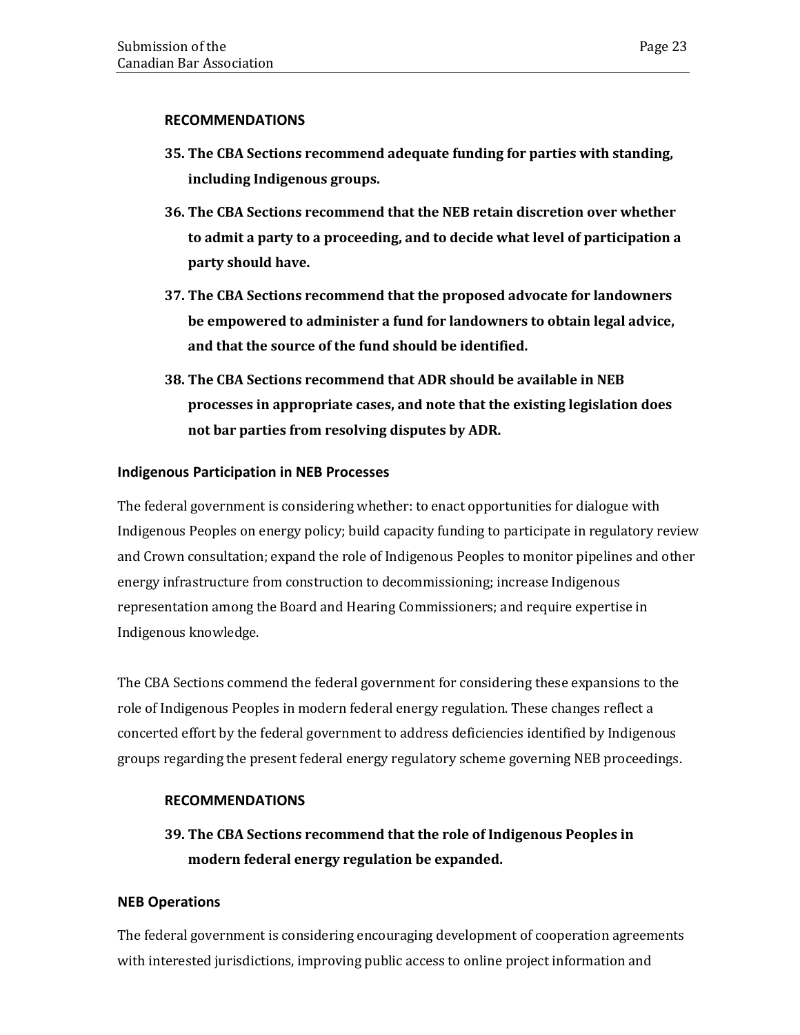### **RECOMMENDATIONS**

- **35. The CBA Sections recommend adequate funding for parties with standing, including Indigenous groups.**
- **36. The CBA Sections recommend that the NEB retain discretion over whether to admit a party to a proceeding, and to decide what level of participation a party should have.**
- **37. The CBA Sections recommend that the proposed advocate for landowners be empowered to administer a fund for landowners to obtain legal advice, and that the source of the fund should be identified.**
- **38. The CBA Sections recommend that ADR should be available in NEB processes in appropriate cases, and note that the existing legislation does not bar parties from resolving disputes by ADR.**

### **Indigenous Participation in NEB Processes**

The federal government is considering whether: to enact opportunities for dialogue with Indigenous Peoples on energy policy; build capacity funding to participate in regulatory review and Crown consultation; expand the role of Indigenous Peoples to monitor pipelines and other energy infrastructure from construction to decommissioning; increase Indigenous representation among the Board and Hearing Commissioners; and require expertise in Indigenous knowledge.

The CBA Sections commend the federal government for considering these expansions to the role of Indigenous Peoples in modern federal energy regulation. These changes reflect a concerted effort by the federal government to address deficiencies identified by Indigenous groups regarding the present federal energy regulatory scheme governing NEB proceedings.

### **RECOMMENDATIONS**

## **39. The CBA Sections recommend that the role of Indigenous Peoples in modern federal energy regulation be expanded.**

### **NEB Operations**

The federal government is considering encouraging development of cooperation agreements with interested jurisdictions, improving public access to online project information and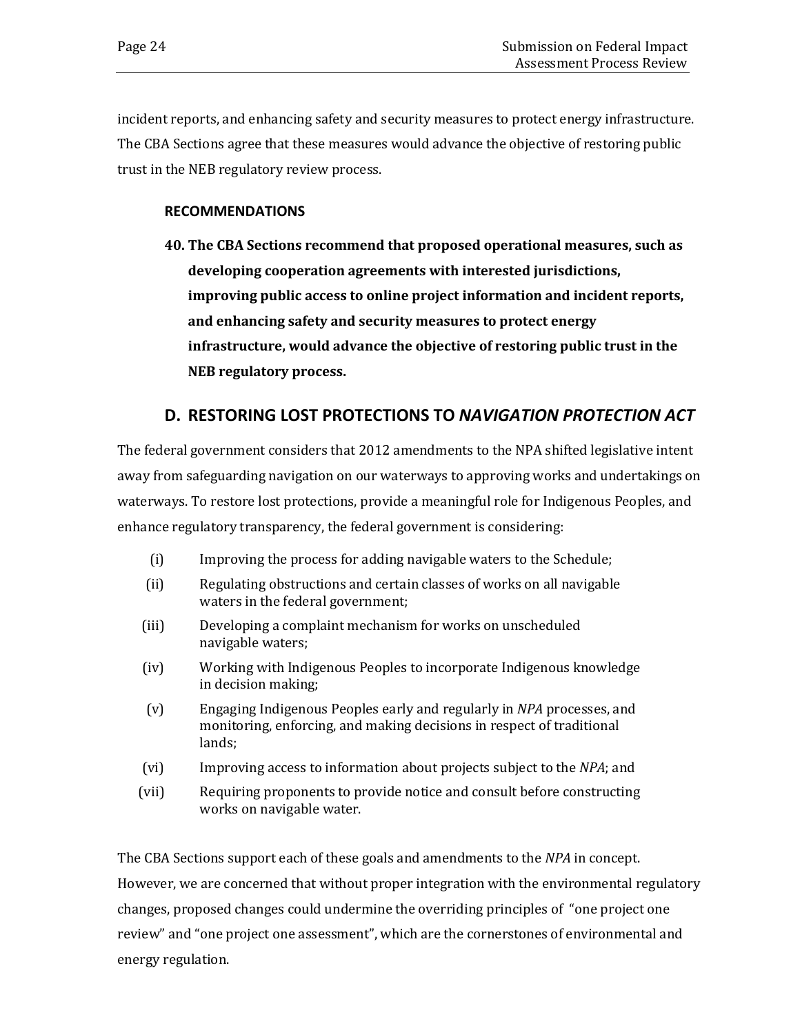incident reports, and enhancing safety and security measures to protect energy infrastructure. The CBA Sections agree that these measures would advance the objective of restoring public trust in the NEB regulatory review process.

### **RECOMMENDATIONS**

**40. The CBA Sections recommend that proposed operational measures, such as developing cooperation agreements with interested jurisdictions, improving public access to online project information and incident reports, and enhancing safety and security measures to protect energy infrastructure, would advance the objective of restoring public trust in the NEB regulatory process.** 

## **D. RESTORING LOST PROTECTIONS TO** *NAVIGATION PROTECTION ACT*

The federal government considers that 2012 amendments to the NPA shifted legislative intent away from safeguarding navigation on our waterways to approving works and undertakings on waterways. To restore lost protections, provide a meaningful role for Indigenous Peoples, and enhance regulatory transparency, the federal government is considering:

- (i) Improving the process for adding navigable waters to the Schedule;
- (ii) Regulating obstructions and certain classes of works on all navigable waters in the federal government;
- (iii) Developing a complaint mechanism for works on unscheduled navigable waters;
- (iv) Working with Indigenous Peoples to incorporate Indigenous knowledge in decision making;
- (v) Engaging Indigenous Peoples early and regularly in *NPA* processes, and monitoring, enforcing, and making decisions in respect of traditional lands;
- (vi) Improving access to information about projects subject to the *NPA*; and
- (vii) Requiring proponents to provide notice and consult before constructing works on navigable water.

The CBA Sections support each of these goals and amendments to the *NPA* in concept. However, we are concerned that without proper integration with the environmental regulatory changes, proposed changes could undermine the overriding principles of "one project one review" and "one project one assessment", which are the cornerstones of environmental and energy regulation.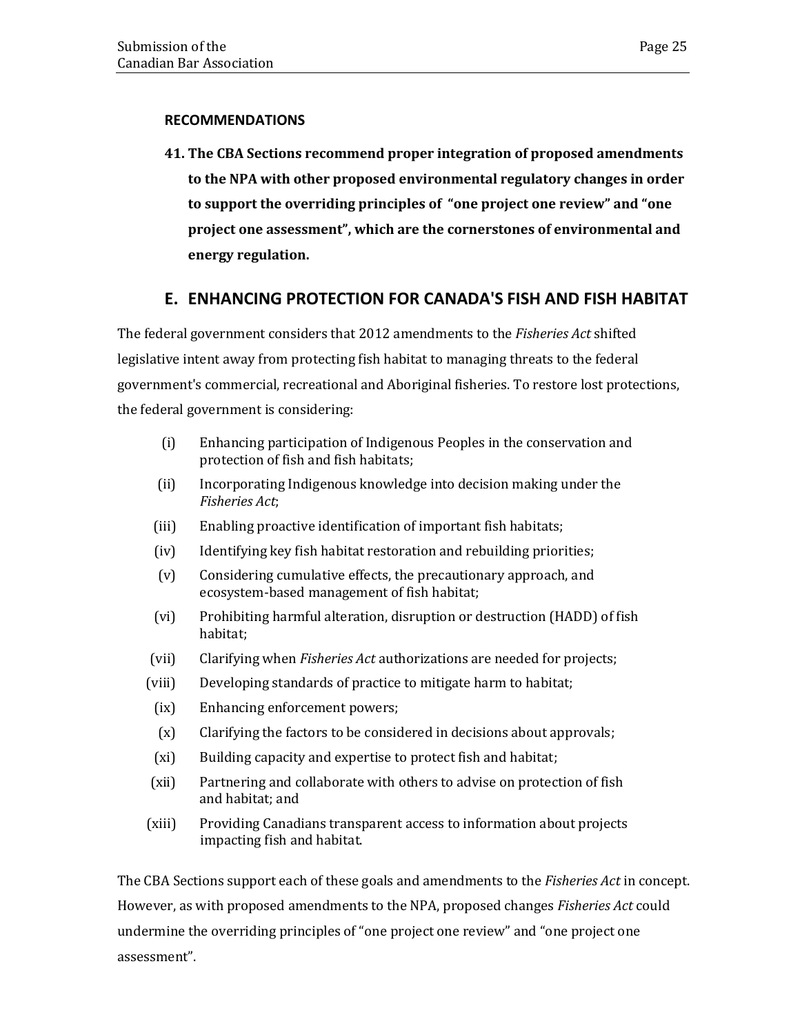### **RECOMMENDATIONS**

**41. The CBA Sections recommend proper integration of proposed amendments to the NPA with other proposed environmental regulatory changes in order to support the overriding principles of "one project one review" and "one project one assessment", which are the cornerstones of environmental and energy regulation.**

## **E. ENHANCING PROTECTION FOR CANADA'S FISH AND FISH HABITAT**

The federal government considers that 2012 amendments to the *Fisheries Act* shifted legislative intent away from protecting fish habitat to managing threats to the federal government's commercial, recreational and Aboriginal fisheries. To restore lost protections, the federal government is considering:

- (i) Enhancing participation of Indigenous Peoples in the conservation and protection of fish and fish habitats;
- (ii) Incorporating Indigenous knowledge into decision making under the *Fisheries Act*;
- (iii) Enabling proactive identification of important fish habitats;
- (iv) Identifying key fish habitat restoration and rebuilding priorities;
- (v) Considering cumulative effects, the precautionary approach, and ecosystem-based management of fish habitat;
- (vi) Prohibiting harmful alteration, disruption or destruction (HADD) of fish habitat;
- (vii) Clarifying when *Fisheries Act* authorizations are needed for projects;
- (viii) Developing standards of practice to mitigate harm to habitat;
	- (ix) Enhancing enforcement powers;
	- (x) Clarifying the factors to be considered in decisions about approvals;
	- (xi) Building capacity and expertise to protect fish and habitat;
- (xii) Partnering and collaborate with others to advise on protection of fish and habitat; and
- (xiii) Providing Canadians transparent access to information about projects impacting fish and habitat.

The CBA Sections support each of these goals and amendments to the *Fisheries Act* in concept. However, as with proposed amendments to the NPA, proposed changes *Fisheries Act* could undermine the overriding principles of "one project one review" and "one project one assessment".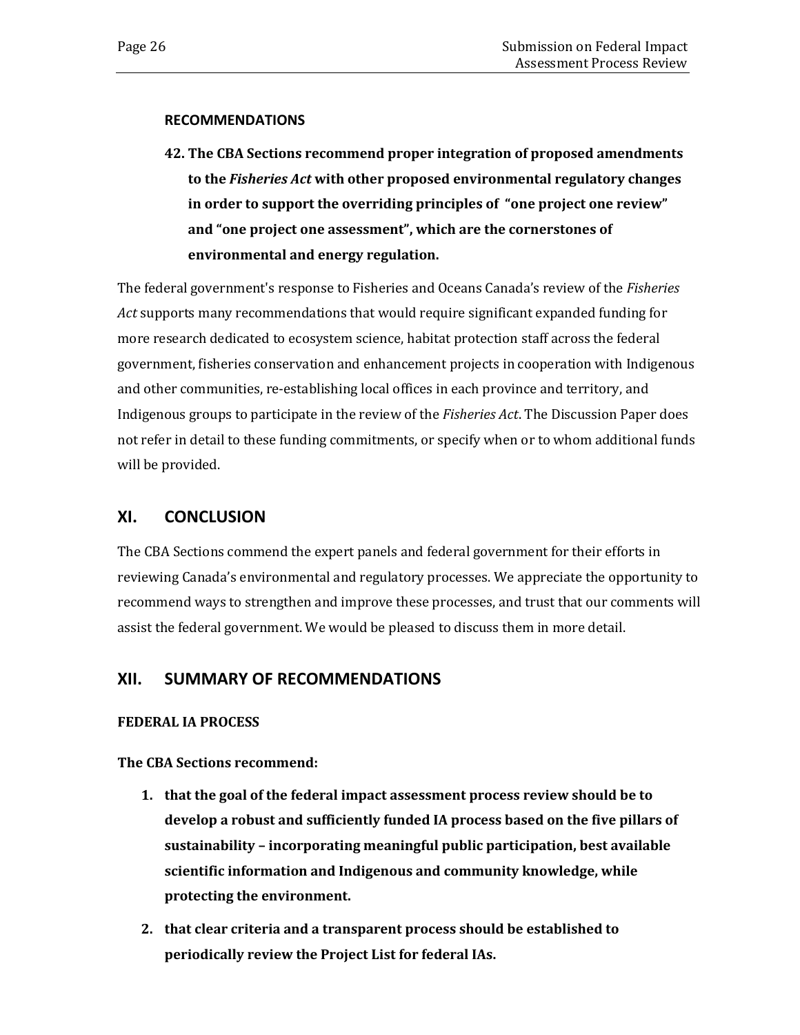#### **RECOMMENDATIONS**

**42. The CBA Sections recommend proper integration of proposed amendments to the** *Fisheries Act* **with other proposed environmental regulatory changes in order to support the overriding principles of "one project one review" and "one project one assessment", which are the cornerstones of environmental and energy regulation.**

The federal government's response to Fisheries and Oceans Canada's review of the *Fisheries Act* supports many recommendations that would require significant expanded funding for more research dedicated to ecosystem science, habitat protection staff across the federal government, fisheries conservation and enhancement projects in cooperation with Indigenous and other communities, re-establishing local offices in each province and territory, and Indigenous groups to participate in the review of the *Fisheries Act*. The Discussion Paper does not refer in detail to these funding commitments, or specify when or to whom additional funds will be provided.

### <span id="page-29-0"></span>**XI. CONCLUSION**

The CBA Sections commend the expert panels and federal government for their efforts in reviewing Canada's environmental and regulatory processes. We appreciate the opportunity to recommend ways to strengthen and improve these processes, and trust that our comments will assist the federal government. We would be pleased to discuss them in more detail.

### <span id="page-29-1"></span>**XII. SUMMARY OF RECOMMENDATIONS**

### **FEDERAL IA PROCESS**

**The CBA Sections recommend:** 

- **1. that the goal of the federal impact assessment process review should be to develop a robust and sufficiently funded IA process based on the five pillars of sustainability – incorporating meaningful public participation, best available scientific information and Indigenous and community knowledge, while protecting the environment.**
- **2. that clear criteria and a transparent process should be established to periodically review the Project List for federal IAs.**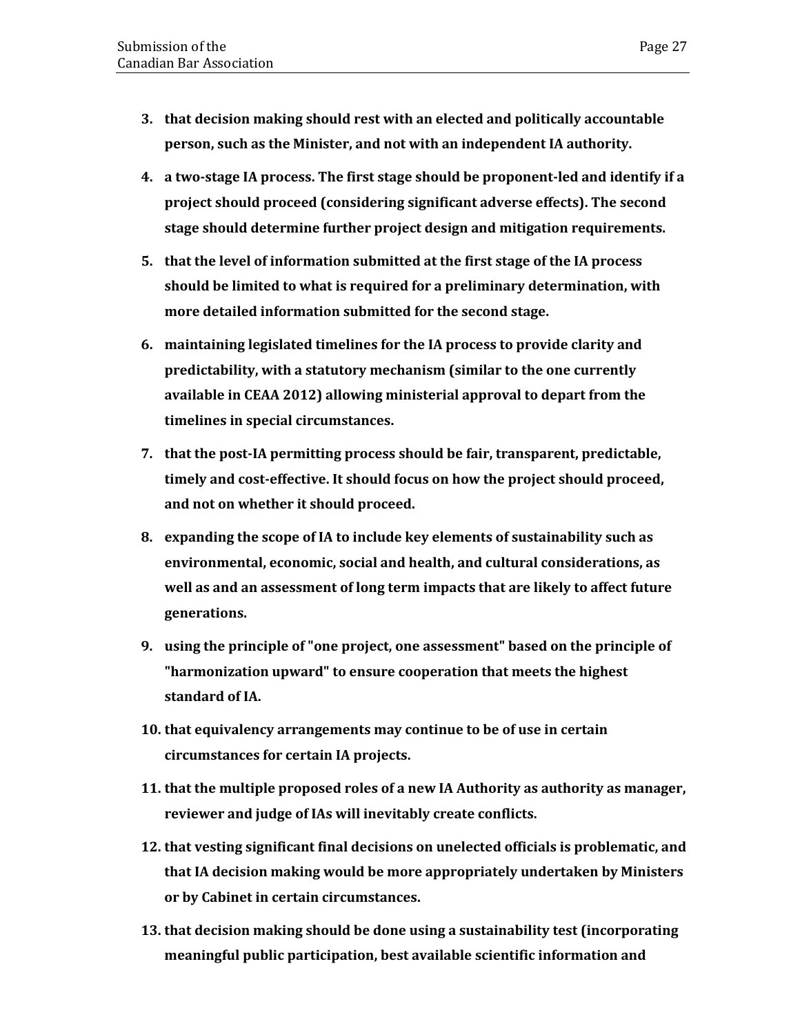- **3. that decision making should rest with an elected and politically accountable person, such as the Minister, and not with an independent IA authority.**
- **4. a two-stage IA process. The first stage should be proponent-led and identify if a project should proceed (considering significant adverse effects). The second stage should determine further project design and mitigation requirements.**
- **5. that the level of information submitted at the first stage of the IA process should be limited to what is required for a preliminary determination, with more detailed information submitted for the second stage.**
- **6. maintaining legislated timelines for the IA process to provide clarity and predictability, with a statutory mechanism (similar to the one currently available in CEAA 2012) allowing ministerial approval to depart from the timelines in special circumstances.**
- **7. that the post-IA permitting process should be fair, transparent, predictable, timely and cost-effective. It should focus on how the project should proceed, and not on whether it should proceed.**
- **8. expanding the scope of IA to include key elements of sustainability such as environmental, economic, social and health, and cultural considerations, as well as and an assessment of long term impacts that are likely to affect future generations.**
- **9. using the principle of "one project, one assessment" based on the principle of "harmonization upward" to ensure cooperation that meets the highest standard of IA.**
- **10. that equivalency arrangements may continue to be of use in certain circumstances for certain IA projects.**
- **11. that the multiple proposed roles of a new IA Authority as authority as manager, reviewer and judge of IAs will inevitably create conflicts.**
- **12. that vesting significant final decisions on unelected officials is problematic, and that IA decision making would be more appropriately undertaken by Ministers or by Cabinet in certain circumstances.**
- **13. that decision making should be done using a sustainability test (incorporating meaningful public participation, best available scientific information and**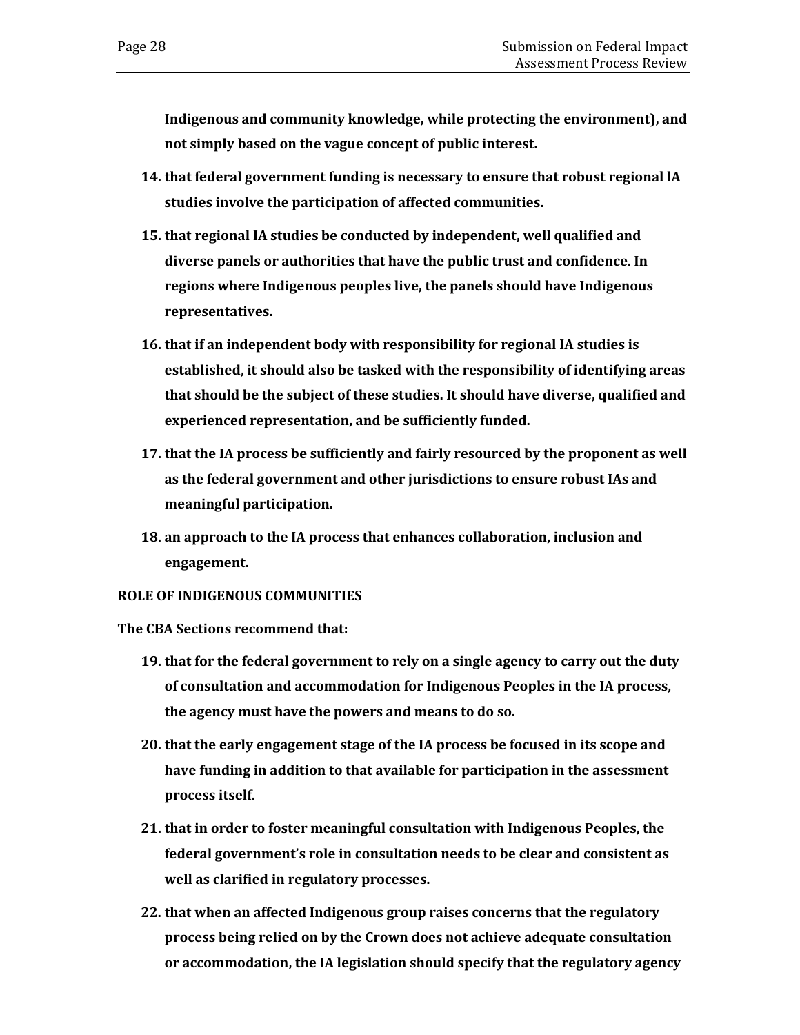**Indigenous and community knowledge, while protecting the environment), and not simply based on the vague concept of public interest.**

- **14. that federal government funding is necessary to ensure that robust regional lA studies involve the participation of affected communities.**
- **15. that regional IA studies be conducted by independent, well qualified and diverse panels or authorities that have the public trust and confidence. In regions where Indigenous peoples live, the panels should have Indigenous representatives.**
- **16. that if an independent body with responsibility for regional IA studies is established, it should also be tasked with the responsibility of identifying areas that should be the subject of these studies. It should have diverse, qualified and experienced representation, and be sufficiently funded.**
- **17. that the IA process be sufficiently and fairly resourced by the proponent as well as the federal government and other jurisdictions to ensure robust IAs and meaningful participation.**
- **18. an approach to the IA process that enhances collaboration, inclusion and engagement.**

#### **ROLE OF INDIGENOUS COMMUNITIES**

#### **The CBA Sections recommend that:**

- **19. that for the federal government to rely on a single agency to carry out the duty of consultation and accommodation for Indigenous Peoples in the IA process, the agency must have the powers and means to do so.**
- **20. that the early engagement stage of the IA process be focused in its scope and have funding in addition to that available for participation in the assessment process itself.**
- **21. that in order to foster meaningful consultation with Indigenous Peoples, the federal government's role in consultation needs to be clear and consistent as well as clarified in regulatory processes.**
- **22. that when an affected Indigenous group raises concerns that the regulatory process being relied on by the Crown does not achieve adequate consultation or accommodation, the IA legislation should specify that the regulatory agency**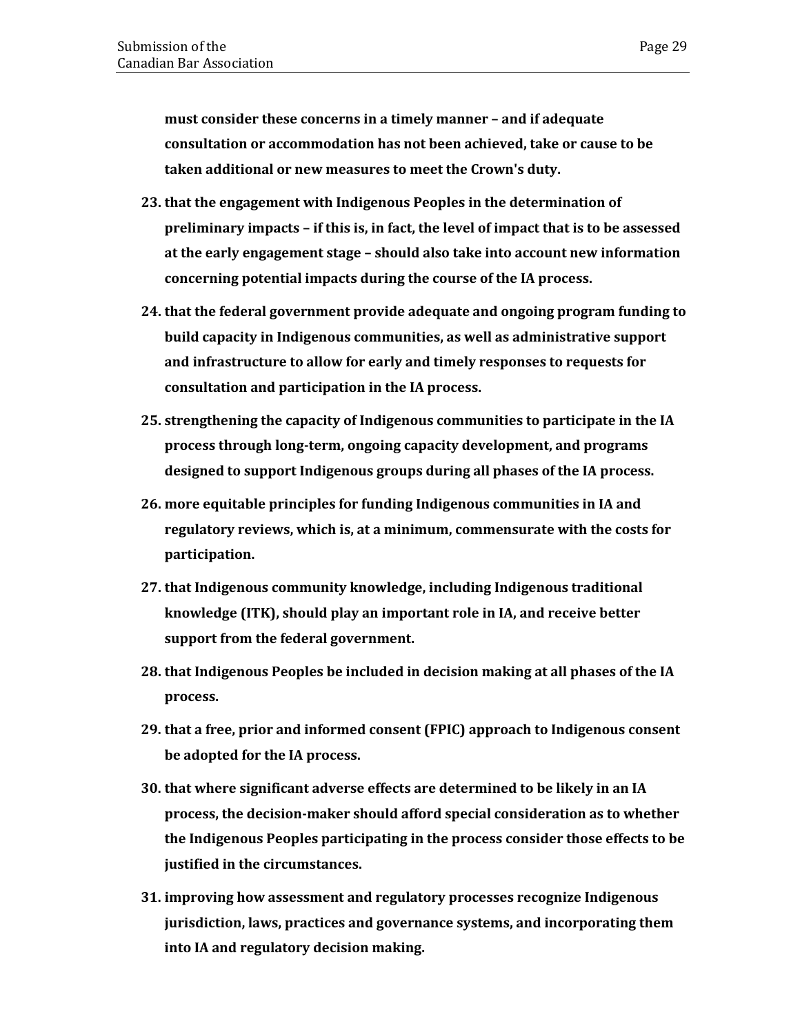**must consider these concerns in a timely manner – and if adequate consultation or accommodation has not been achieved, take or cause to be taken additional or new measures to meet the Crown's duty.**

- **23. that the engagement with Indigenous Peoples in the determination of preliminary impacts – if this is, in fact, the level of impact that is to be assessed at the early engagement stage – should also take into account new information concerning potential impacts during the course of the IA process.**
- **24. that the federal government provide adequate and ongoing program funding to build capacity in Indigenous communities, as well as administrative support and infrastructure to allow for early and timely responses to requests for consultation and participation in the IA process.**
- **25. strengthening the capacity of Indigenous communities to participate in the IA process through long-term, ongoing capacity development, and programs designed to support Indigenous groups during all phases of the IA process.**
- **26. more equitable principles for funding Indigenous communities in IA and regulatory reviews, which is, at a minimum, commensurate with the costs for participation.**
- **27. that Indigenous community knowledge, including Indigenous traditional knowledge (ITK), should play an important role in IA, and receive better support from the federal government.**
- **28. that Indigenous Peoples be included in decision making at all phases of the IA process.**
- **29. that a free, prior and informed consent (FPIC) approach to Indigenous consent be adopted for the IA process.**
- **30. that where significant adverse effects are determined to be likely in an IA process, the decision-maker should afford special consideration as to whether the Indigenous Peoples participating in the process consider those effects to be justified in the circumstances.**
- **31. improving how assessment and regulatory processes recognize Indigenous jurisdiction, laws, practices and governance systems, and incorporating them into IA and regulatory decision making.**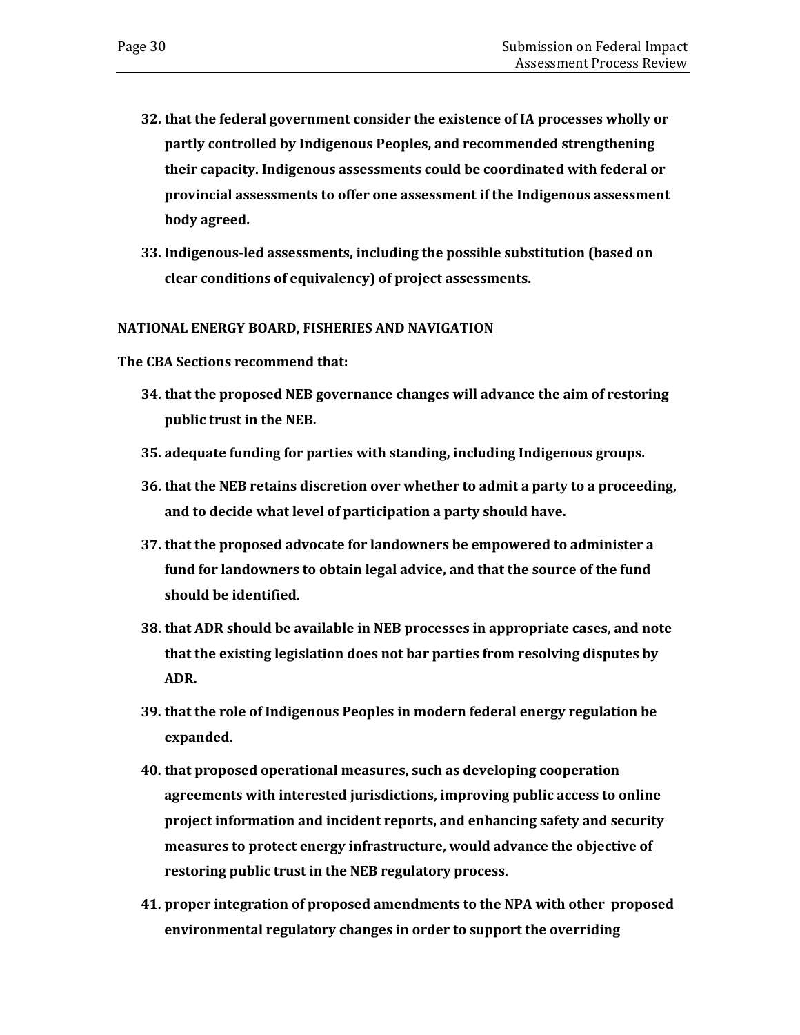- **32. that the federal government consider the existence of IA processes wholly or partly controlled by Indigenous Peoples, and recommended strengthening their capacity. Indigenous assessments could be coordinated with federal or provincial assessments to offer one assessment if the Indigenous assessment body agreed.**
- **33. Indigenous-led assessments, including the possible substitution (based on clear conditions of equivalency) of project assessments.**

#### **NATIONAL ENERGY BOARD, FISHERIES AND NAVIGATION**

**The CBA Sections recommend that:** 

- **34. that the proposed NEB governance changes will advance the aim of restoring public trust in the NEB.**
- **35. adequate funding for parties with standing, including Indigenous groups.**
- **36. that the NEB retains discretion over whether to admit a party to a proceeding, and to decide what level of participation a party should have.**
- **37. that the proposed advocate for landowners be empowered to administer a fund for landowners to obtain legal advice, and that the source of the fund should be identified.**
- **38. that ADR should be available in NEB processes in appropriate cases, and note that the existing legislation does not bar parties from resolving disputes by ADR.**
- **39. that the role of Indigenous Peoples in modern federal energy regulation be expanded.**
- **40. that proposed operational measures, such as developing cooperation agreements with interested jurisdictions, improving public access to online project information and incident reports, and enhancing safety and security measures to protect energy infrastructure, would advance the objective of restoring public trust in the NEB regulatory process.**
- **41. proper integration of proposed amendments to the NPA with other proposed environmental regulatory changes in order to support the overriding**